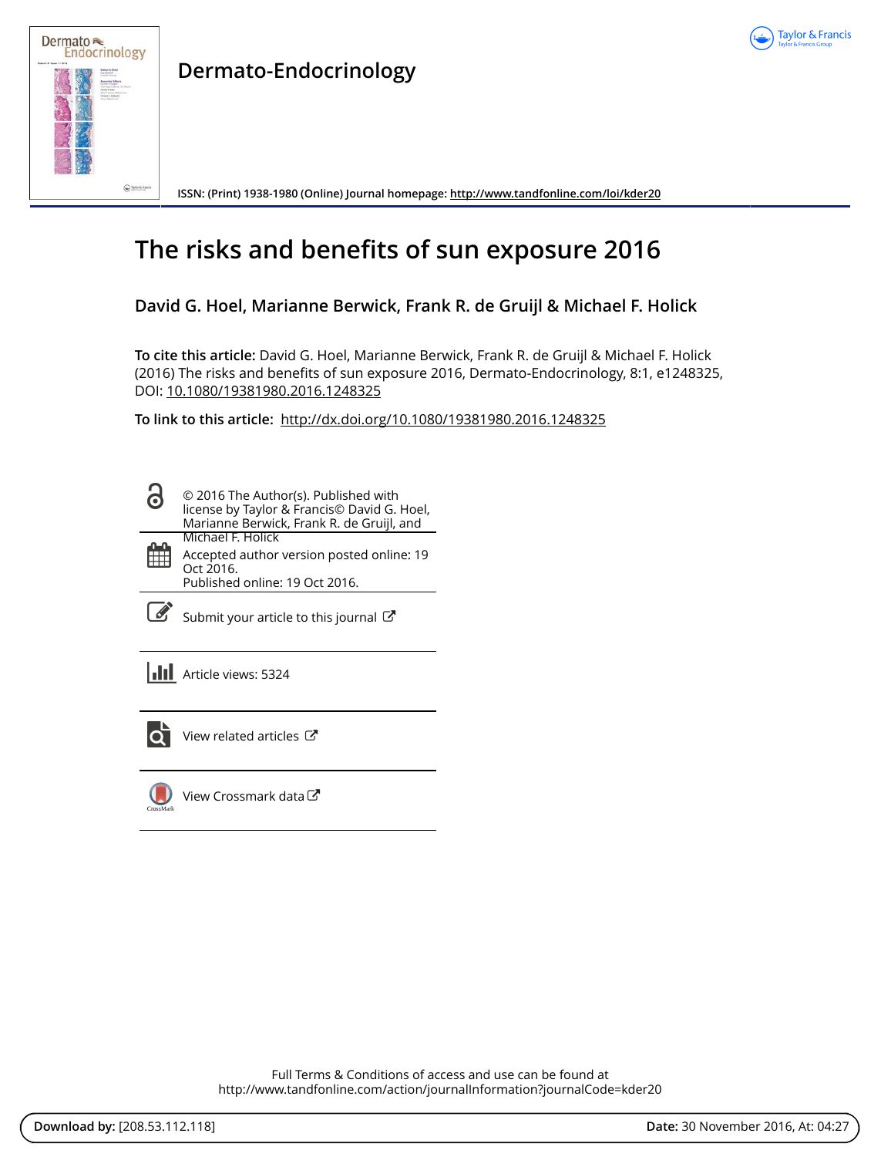



**Dermato-Endocrinology**

**ISSN: (Print) 1938-1980 (Online) Journal homepage:<http://www.tandfonline.com/loi/kder20>**

# **The risks and benefits of sun exposure 2016**

**David G. Hoel, Marianne Berwick, Frank R. de Gruijl & Michael F. Holick**

**To cite this article:** David G. Hoel, Marianne Berwick, Frank R. de Gruijl & Michael F. Holick (2016) The risks and benefits of sun exposure 2016, Dermato-Endocrinology, 8:1, e1248325, DOI: [10.1080/19381980.2016.1248325](http://www.tandfonline.com/action/showCitFormats?doi=10.1080/19381980.2016.1248325)

**To link to this article:** <http://dx.doi.org/10.1080/19381980.2016.1248325>

© 2016 The Author(s). Published with Ō license by Taylor & Francis© David G. Hoel, Marianne Berwick, Frank R. de Gruijl, and Michael F. Holick m Accepted author version posted online: 19 Oct 2016. Published online: 19 Oct 2016.

 $\overrightarrow{S}$  [Submit your article to this journal](http://www.tandfonline.com/action/authorSubmission?journalCode=kder20&show=instructions)  $\overrightarrow{S}$ 

**Article views: 5324** 



[View related articles](http://www.tandfonline.com/doi/mlt/10.1080/19381980.2016.1248325)  $\mathbb{Z}$ 



[View Crossmark data](http://crossmark.crossref.org/dialog/?doi=10.1080/19381980.2016.1248325&domain=pdf&date_stamp=2016-10-19)

Full Terms & Conditions of access and use can be found at <http://www.tandfonline.com/action/journalInformation?journalCode=kder20>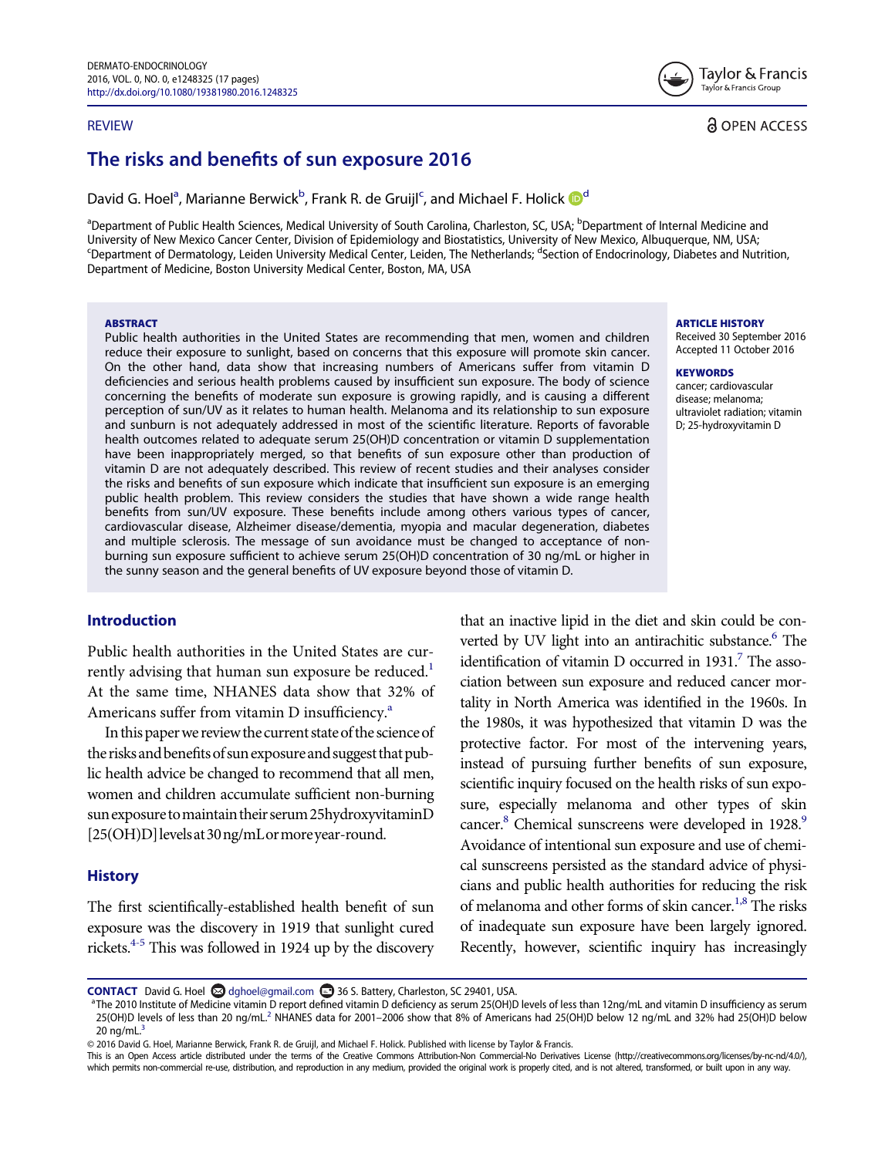#### REVIEW



**a** OPEN ACCESS

# The risks and benefits of sun exposure 2016

D[a](#page-1-0)vid G. Hoel<sup>a</sup>, Marianne Berwi[c](#page-1-1)[k](#page-11-0)<sup>b</sup>, Frank R. [d](#page-1-2)e Gruijl<sup>c</sup>, and Michael F. Holick **D**<sup>d</sup>

<span id="page-1-2"></span><span id="page-1-1"></span><span id="page-1-0"></span><sup>a</sup>Department of Public Health Sciences, Medical University of South Carolina, Charleston, SC, USA; <sup>b</sup>Department of Internal Medicine and University of New Mexico Cancer Center, Division of Epidemiology and Biostatistics, University of New Mexico, Albuquerque, NM, USA; <sup>c</sup>Department of Dermatology, Leiden University Medical Center, Leiden, The Netherlands; <sup>d</sup>Section of Endocrinology, Diabetes and Nutrition, Department of Medicine, Boston University Medical Center, Boston, MA, USA

#### **ABSTRACT**

Public health authorities in the United States are recommending that men, women and children reduce their exposure to sunlight, based on concerns that this exposure will promote skin cancer. On the other hand, data show that increasing numbers of Americans suffer from vitamin D deficiencies and serious health problems caused by insufficient sun exposure. The body of science concerning the benefits of moderate sun exposure is growing rapidly, and is causing a different perception of sun/UV as it relates to human health. Melanoma and its relationship to sun exposure and sunburn is not adequately addressed in most of the scientific literature. Reports of favorable health outcomes related to adequate serum 25(OH)D concentration or vitamin D supplementation have been inappropriately merged, so that benefits of sun exposure other than production of vitamin D are not adequately described. This review of recent studies and their analyses consider the risks and benefits of sun exposure which indicate that insufficient sun exposure is an emerging public health problem. This review considers the studies that have shown a wide range health benefits from sun/UV exposure. These benefits include among others various types of cancer, cardiovascular disease, Alzheimer disease/dementia, myopia and macular degeneration, diabetes and multiple sclerosis. The message of sun avoidance must be changed to acceptance of nonburning sun exposure sufficient to achieve serum 25(OH)D concentration of 30 ng/mL or higher in the sunny season and the general benefits of UV exposure beyond those of vitamin D.

#### Introduction

Public health authorities in the United States are currently advising that human sun exposure be reduced.<sup>1</sup> At the same time, NHANES data show that 32% of Americ[a](#page-1-3)ns suffer from vitamin D insufficiency. $a^a$ 

In this paper we review the current state of the science of the risks and benefits of sun exposure and suggest that public health advice be changed to recommend that all men, women and children accumulate sufficient non-burning sun exposure to maintain their serum 25 hydroxyvitaminD [25(OH)D]levelsat30ng/mLormoreyear-round.

#### **History**

The first scientifically-established health benefit of sun exposure was the discovery in 1919 that sunlight cured rickets[.4-5](#page-11-2) This was followed in 1924 up by the discovery ARTICLE HISTORY

Received 30 September 2016 Accepted 11 October 2016

#### **KEYWORDS**

cancer; cardiovascular disease; melanoma; ultraviolet radiation; vitamin D; 25-hydroxyvitamin D

that an inactive lipid in the diet and skin could be converted by UV light into an antirachitic substance.<sup>6</sup> The identification of vitamin D occurred in  $1931<sup>7</sup>$  $1931<sup>7</sup>$  $1931<sup>7</sup>$  The association between sun exposure and reduced cancer mortality in North America was identified in the 1960s. In the 1980s, it was hypothesized that vitamin D was the protective factor. For most of the intervening years, instead of pursuing further benefits of sun exposure, scientific inquiry focused on the health risks of sun exposure, especially melanoma and other types of skin cancer.<sup>8</sup> Chemical sunscreens were developed in 1928.<sup>9</sup> Avoidance of intentional sun exposure and use of chemical sunscreens persisted as the standard advice of physicians and public health authorities for reducing the risk of melanoma and other forms of skin cancer.<sup>[1,8](#page-11-1)</sup> The risks of inadequate sun exposure have been largely ignored. Recently, however, scientific inquiry has increasingly

<sup>a</sup>The 2010 Institute of Medicine vitamin D report defined vitamin D deficiency as serum 25(OH)D levels of less than 12ng/mL and vitamin D insufficiency as serum [2](#page-11-3)5(OH)D levels of less than 20 ng/mL.<sup>2</sup> NHANES data for 2001–2006 show that 8% of Americans had 25(OH)D below 12 ng/mL and 32% had 25(OH)D below 20  $nq/mL<sup>3</sup>$  $nq/mL<sup>3</sup>$  $nq/mL<sup>3</sup>$ 

© 2016 David G. Hoel, Marianne Berwick, Frank R. de Gruijl, and Michael F. Holick. Published with license by Taylor & Francis.

This is an Open Access article distributed under the terms of the Creative Commons Attribution-Non Commercial-No Derivatives License (http://creativecommons.org/licenses/by-nc-nd/4.0/), which permits non-commercial re-use, distribution, and reproduction in any medium, provided the original work is properly cited, and is not altered, transformed, or built upon in any way.

<span id="page-1-3"></span>CONTACT David G. Hoel and discrimination 36 S. Battery, Charleston, SC 29401, USA.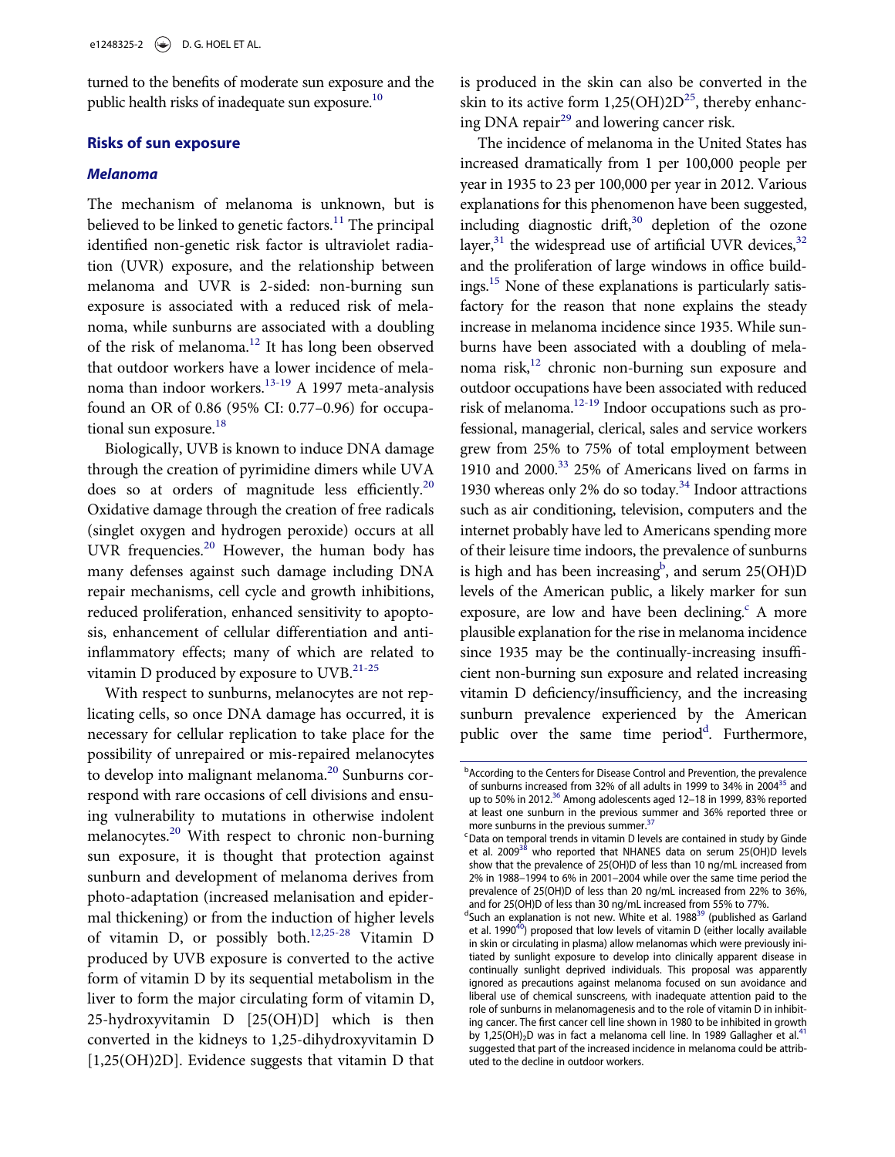turned to the benefits of moderate sun exposure and the public health risks of inadequate sun exposure.<sup>10</sup>

#### Risks of sun exposure

#### Melanoma

The mechanism of melanoma is unknown, but is believed to be linked to genetic factors.<sup>[11](#page-11-9)</sup> The principal identified non-genetic risk factor is ultraviolet radiation (UVR) exposure, and the relationship between melanoma and UVR is 2-sided: non-burning sun exposure is associated with a reduced risk of melanoma, while sunburns are associated with a doubling of the risk of melanoma.<sup>[12](#page-12-0)</sup> It has long been observed that outdoor workers have a lower incidence of mela-noma than indoor workers.<sup>[13-19](#page-12-1)</sup> A 1997 meta-analysis found an OR of 0.86 (95% CI: 0.77–0.96) for occupa-tional sun exposure.<sup>[18](#page-12-2)</sup>

Biologically, UVB is known to induce DNA damage through the creation of pyrimidine dimers while UVA does so at orders of magnitude less efficiently.<sup>20</sup> Oxidative damage through the creation of free radicals (singlet oxygen and hydrogen peroxide) occurs at all UVR frequencies. $20$  However, the human body has many defenses against such damage including DNA repair mechanisms, cell cycle and growth inhibitions, reduced proliferation, enhanced sensitivity to apoptosis, enhancement of cellular differentiation and antiinflammatory effects; many of which are related to vitamin D produced by exposure to UVB.<sup>[21-25](#page-12-4)</sup>

<span id="page-2-2"></span><span id="page-2-1"></span><span id="page-2-0"></span>With respect to sunburns, melanocytes are not replicating cells, so once DNA damage has occurred, it is necessary for cellular replication to take place for the possibility of unrepaired or mis-repaired melanocytes to develop into malignant melanoma.<sup>[20](#page-12-3)</sup> Sunburns correspond with rare occasions of cell divisions and ensuing vulnerability to mutations in otherwise indolent melanocytes.<sup>[20](#page-12-3)</sup> With respect to chronic non-burning sun exposure, it is thought that protection against sunburn and development of melanoma derives from photo-adaptation (increased melanisation and epidermal thickening) or from the induction of higher levels of vitamin D, or possibly both[.12,25-28](#page-12-0) Vitamin D produced by UVB exposure is converted to the active form of vitamin D by its sequential metabolism in the liver to form the major circulating form of vitamin D, 25-hydroxyvitamin D [25(OH)D] which is then converted in the kidneys to 1,25-dihydroxyvitamin D [1,25(OH)2D]. Evidence suggests that vitamin D that is produced in the skin can also be converted in the skin to its active form  $1,25(OH)2D^{25}$ , thereby enhancing DNA repair<sup>29</sup> and lowering cancer risk.

The incidence of melanoma in the United States has increased dramatically from 1 per 100,000 people per year in 1935 to 23 per 100,000 per year in 2012. Various explanations for this phenomenon have been suggested, including diagnostic drift, $30$  depletion of the ozone layer, $31$  the widespread use of artificial UVR devices, $32$ and the proliferation of large windows in office buildings.[15](#page-12-10) None of these explanations is particularly satisfactory for the reason that none explains the steady increase in melanoma incidence since 1935. While sunburns have been associated with a doubling of melanoma risk, $12$  chronic non-burning sun exposure and outdoor occupations have been associated with reduced risk of melanoma[.12-19](#page-12-0) Indoor occupations such as professional, managerial, clerical, sales and service workers grew from 25% to 75% of total employment between 1910 and 2000.[33](#page-12-11) 25% of Americans lived on farms in 1930 whereas only 2% do so today.<sup>[34](#page-12-12)</sup> Indoor attractions such as air conditioning, television, computers and the internet probably have led to Americans spending more of their leisure time indoors, the prevalence of sunburns is high and has been increasing<sup>b</sup>, and serum 25(OH)D levels of the American public, a likely marker for sun exposure, are low and have been declining.<sup>c</sup> A more plausible explanation for the rise in melanoma incidence since 1935 may be the continually-increasing insufficient non-burning sun exposure and related increasing vitamin D deficiency/insufficiency, and the increasing sunburn prevalence experienced by the American public over the same time perio[d](#page-2-2)<sup>d</sup>. Furthermore,

**b** According to the Centers for Disease Control and Prevention, the prevalence of sunburns increased from 32% of all adults in 1999 to 34% in 2004<sup>35</sup> and up to 50% in 2012.<sup>[36](#page-12-14)</sup> Among adolescents aged 12-18 in 1999, 83% reported at least one sunburn in the previous summer and 36% reported three or more sunburns in the previous summer.<sup>[37](#page-12-15)</sup>

<sup>&</sup>lt;sup>c</sup> Data on temporal trends in vitamin D levels are contained in study by Ginde et al. 2009<sup>38</sup> who reported that NHANES data on serum 25(OH)D levels show that the prevalence of 25(OH)D of less than 10 ng/mL increased from 2% in 1988–1994 to 6% in 2001–2004 while over the same time period the prevalence of 25(OH)D of less than 20 ng/mL increased from 22% to 36%, and for 25(OH)D of less than 30 ng/mL increased from 55% to 77%.

<sup>&</sup>lt;sup>d</sup>Such an explanation is not new. White et al. 1988<sup>[39](#page-13-1)</sup> (published as Garland et al. 1990<sup>40</sup>) proposed that low levels of vitamin D (either locally available in skin or circulating in plasma) allow melanomas which were previously initiated by sunlight exposure to develop into clinically apparent disease in continually sunlight deprived individuals. This proposal was apparently ignored as precautions against melanoma focused on sun avoidance and liberal use of chemical sunscreens, with inadequate attention paid to the role of sunburns in melanomagenesis and to the role of vitamin D in inhibiting cancer. The first cancer cell line shown in 1980 to be inhibited in growth by 1,25(OH)<sub>2</sub>D was in fact a melanoma cell line. In 1989 Gallagher et al.<sup>[41](#page-13-3)</sup> suggested that part of the increased incidence in melanoma could be attributed to the decline in outdoor workers.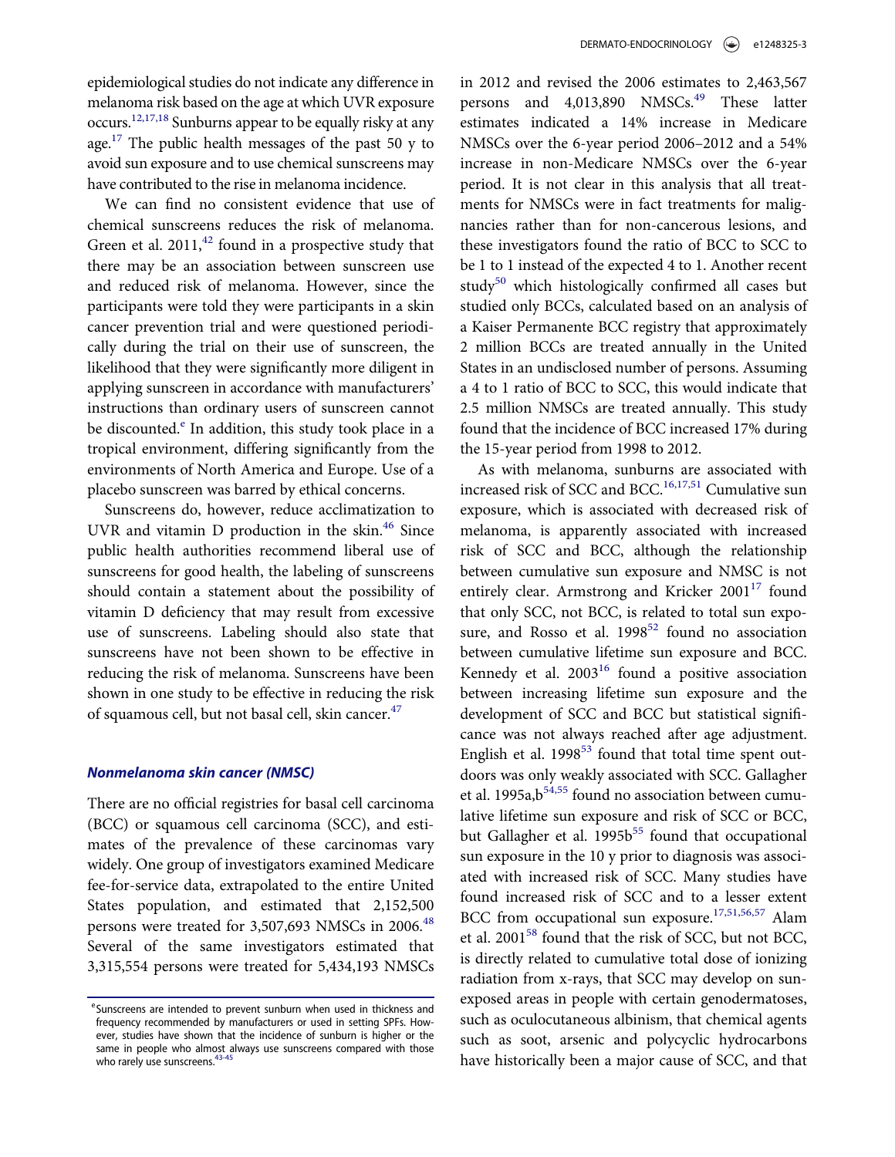epidemiological studies do not indicate any difference in melanoma risk based on the age at which UVR exposure occurs.[12,17,18](#page-12-0) Sunburns appear to be equally risky at any age.<sup>17</sup> The public health messages of the past 50 y to avoid sun exposure and to use chemical sunscreens may have contributed to the rise in melanoma incidence.

We can find no consistent evidence that use of chemical sunscreens reduces the risk of melanoma. Green et al.  $2011<sup>42</sup>$  $2011<sup>42</sup>$  $2011<sup>42</sup>$  found in a prospective study that there may be an association between sunscreen use and reduced risk of melanoma. However, since the participants were told they were participants in a skin cancer prevention trial and were questioned periodically during the trial on their use of sunscreen, the likelihood that they were significantly more diligent in applying sunscreen in accordance with manufacturers' instructions than ordinary users of sunscreen cannot b[e](#page-3-0) discounted. $\epsilon$  In addition, this study took place in a tropical environment, differing significantly from the environments of North America and Europe. Use of a placebo sunscreen was barred by ethical concerns.

Sunscreens do, however, reduce acclimatization to UVR and vitamin D production in the skin.[46](#page-13-5) Since public health authorities recommend liberal use of sunscreens for good health, the labeling of sunscreens should contain a statement about the possibility of vitamin D deficiency that may result from excessive use of sunscreens. Labeling should also state that sunscreens have not been shown to be effective in reducing the risk of melanoma. Sunscreens have been shown in one study to be effective in reducing the risk of squamous cell, but not basal cell, skin cancer.<sup>[47](#page-13-6)</sup>

#### Nonmelanoma skin cancer (NMSC)

There are no official registries for basal cell carcinoma (BCC) or squamous cell carcinoma (SCC), and estimates of the prevalence of these carcinomas vary widely. One group of investigators examined Medicare fee-for-service data, extrapolated to the entire United States population, and estimated that 2,152,500 persons were treated for 3,507,693 NMSCs in 2006.<sup>[48](#page-13-7)</sup> Several of the same investigators estimated that 3,315,554 persons were treated for 5,434,193 NMSCs

in 2012 and revised the 2006 estimates to 2,463,567 persons and 4,013,890 NMSCs.<sup>[49](#page-13-8)</sup> These latter estimates indicated a 14% increase in Medicare NMSCs over the 6-year period 2006–2012 and a 54% increase in non-Medicare NMSCs over the 6-year period. It is not clear in this analysis that all treatments for NMSCs were in fact treatments for malignancies rather than for non-cancerous lesions, and these investigators found the ratio of BCC to SCC to be 1 to 1 instead of the expected 4 to 1. Another recent study $50$  which histologically confirmed all cases but studied only BCCs, calculated based on an analysis of a Kaiser Permanente BCC registry that approximately 2 million BCCs are treated annually in the United States in an undisclosed number of persons. Assuming a 4 to 1 ratio of BCC to SCC, this would indicate that 2.5 million NMSCs are treated annually. This study found that the incidence of BCC increased 17% during the 15-year period from 1998 to 2012.

As with melanoma, sunburns are associated with increased risk of SCC and BCC.<sup>[16,17,51](#page-12-17)</sup> Cumulative sun exposure, which is associated with decreased risk of melanoma, is apparently associated with increased risk of SCC and BCC, although the relationship between cumulative sun exposure and NMSC is not entirely clear. Armstrong and Kricker  $2001^{17}$  $2001^{17}$  $2001^{17}$  found that only SCC, not BCC, is related to total sun exposure, and Rosso et al.  $1998^{52}$  found no association between cumulative lifetime sun exposure and BCC. Kennedy et al.  $2003^{16}$  $2003^{16}$  $2003^{16}$  found a positive association between increasing lifetime sun exposure and the development of SCC and BCC but statistical significance was not always reached after age adjustment. English et al.  $1998^{53}$  $1998^{53}$  $1998^{53}$  found that total time spent outdoors was only weakly associated with SCC. Gallagher et al. 1995a, b<sup>[54,55](#page-13-12)</sup> found no association between cumulative lifetime sun exposure and risk of SCC or BCC, but Gallagher et al. 1995b<sup>[55](#page-13-13)</sup> found that occupational sun exposure in the 10 y prior to diagnosis was associated with increased risk of SCC. Many studies have found increased risk of SCC and to a lesser extent BCC from occupational sun exposure.<sup>[17,51,56,57](#page-12-16)</sup> Alam et al. 2001<sup>58</sup> found that the risk of SCC, but not BCC, is directly related to cumulative total dose of ionizing radiation from x-rays, that SCC may develop on sunexposed areas in people with certain genodermatoses, such as oculocutaneous albinism, that chemical agents such as soot, arsenic and polycyclic hydrocarbons have historically been a major cause of SCC, and that

<span id="page-3-0"></span>eSunscreens are intended to prevent sunburn when used in thickness and frequency recommended by manufacturers or used in setting SPFs. However, studies have shown that the incidence of sunburn is higher or the same in people who almost always use sunscreens compared with those who rarely use sunscreens.<sup>43-45</sup>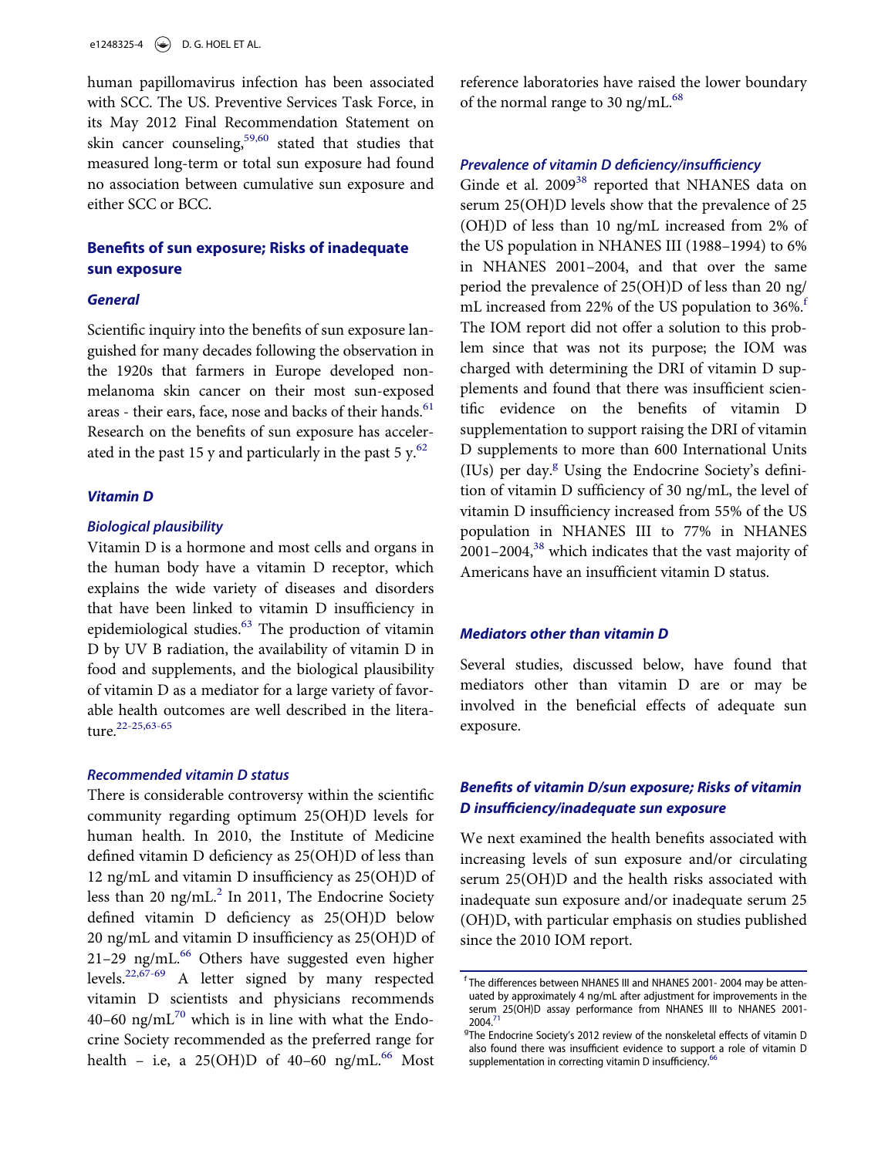human papillomavirus infection has been associated with SCC. The US. Preventive Services Task Force, in its May 2012 Final Recommendation Statement on skin cancer counseling,  $59,60$  stated that studies that measured long-term or total sun exposure had found no association between cumulative sun exposure and either SCC or BCC.

# Benefits of sun exposure; Risks of inadequate sun exposure

#### **General**

Scientific inquiry into the benefits of sun exposure languished for many decades following the observation in the 1920s that farmers in Europe developed nonmelanoma skin cancer on their most sun-exposed areas - their ears, face, nose and backs of their hands.<sup>[61](#page-14-0)</sup> Research on the benefits of sun exposure has accelerated in the past 15 y and particularly in the past 5  $y$ .<sup>[62](#page-14-1)</sup>

#### Vitamin D

#### Biological plausibility

Vitamin D is a hormone and most cells and organs in the human body have a vitamin D receptor, which explains the wide variety of diseases and disorders that have been linked to vitamin D insufficiency in epidemiological studies.<sup>[63](#page-14-2)</sup> The production of vitamin D by UV B radiation, the availability of vitamin D in food and supplements, and the biological plausibility of vitamin D as a mediator for a large variety of favorable health outcomes are well described in the litera-ture.<sup>[22-25,63-65](#page-12-18)</sup>

#### Recommended vitamin D status

<span id="page-4-1"></span><span id="page-4-0"></span>There is considerable controversy within the scientific community regarding optimum 25(OH)D levels for human health. In 2010, the Institute of Medicine defined vitamin D deficiency as 25(OH)D of less than 12 ng/mL and vitamin D insufficiency as 25(OH)D of less than 20 ng/mL $^2$  In 2011, The Endocrine Society defined vitamin D deficiency as 25(OH)D below 20 ng/mL and vitamin D insufficiency as 25(OH)D of 21–29 ng/mL $<sup>66</sup>$  Others have suggested even higher</sup> levels.<sup>[22,67-69](#page-12-18)</sup> A letter signed by many respected vitamin D scientists and physicians recommends 40–60 ng/m $L^{70}$  $L^{70}$  $L^{70}$  which is in line with what the Endocrine Society recommended as the preferred range for health – i.e, a  $25(OH)D$  of  $40-60$  ng/mL.<sup>[66](#page-14-3)</sup> Most

reference laboratories have raised the lower boundary of the normal range to 30 ng/mL $^{68}$ 

## Prevalence of vitamin D deficiency/insufficiency

Ginde et al. 2009<sup>38</sup> reported that NHANES data on serum 25(OH)D levels show that the prevalence of 25 (OH)D of less than 10 ng/mL increased from 2% of the US population in NHANES III (1988–1994) to 6% in NHANES 2001–2004, and that over the same period the prevalence of 25(OH)D of less than 20 ng/ mL increased [f](#page-4-0)rom 22% of the US population to  $36\%$ .<sup>f</sup> The IOM report did not offer a solution to this problem since that was not its purpose; the IOM was charged with determining the DRI of vitamin D supplements and found that there was insufficient scientific evidence on the benefits of vitamin D supplementation to support raising the DRI of vitamin D supplements to more than 600 International Units (IUs) per day.<sup>[g](#page-4-1)</sup> Using the Endocrine Society's definition of vitamin D sufficiency of 30 ng/mL, the level of vitamin D insufficiency increased from 55% of the US population in NHANES III to 77% in NHANES 2001–2004,[38](#page-13-0) which indicates that the vast majority of Americans have an insufficient vitamin D status.

#### Mediators other than vitamin D

Several studies, discussed below, have found that mediators other than vitamin D are or may be involved in the beneficial effects of adequate sun exposure.

# Benefits of vitamin D/sun exposure; Risks of vitamin D insufficiency/inadequate sun exposure

We next examined the health benefits associated with increasing levels of sun exposure and/or circulating serum 25(OH)D and the health risks associated with inadequate sun exposure and/or inadequate serum 25 (OH)D, with particular emphasis on studies published since the 2010 IOM report.

<sup>&</sup>lt;sup>f</sup> The differences between NHANES III and NHANES 2001- 2004 may be attenuated by approximately 4 ng/mL after adjustment for improvements in the serum 25(OH)D assay performance from NHANES III to NHANES 2001- 2004[.71](#page-14-6)

<sup>&</sup>lt;sup>9</sup>The Endocrine Society's 2012 review of the nonskeletal effects of vitamin D also found there was insufficient evidence to support a role of vitamin D supplementation in correcting vitamin D insufficiency.<sup>[66](#page-14-3)</sup>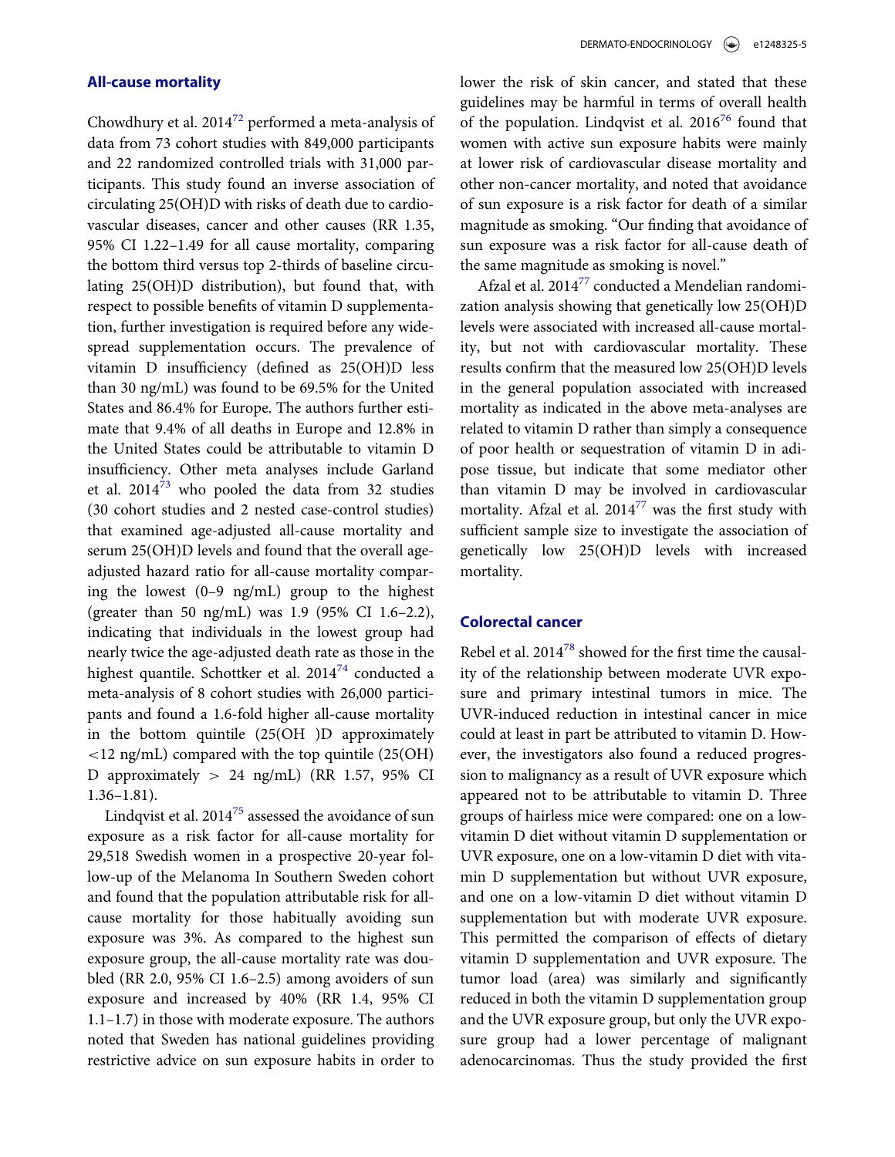## All-cause mortality

Chowdhury et al. 201[472](#page-14-7) performed a meta-analysis of data from 73 cohort studies with 849,000 participants and 22 randomized controlled trials with 31,000 participants. This study found an inverse association of circulating 25(OH)D with risks of death due to cardiovascular diseases, cancer and other causes (RR 1.35, 95% CI 1.22–1.49 for all cause mortality, comparing the bottom third versus top 2-thirds of baseline circulating 25(OH)D distribution), but found that, with respect to possible benefits of vitamin D supplementation, further investigation is required before any widespread supplementation occurs. The prevalence of vitamin D insufficiency (defined as 25(OH)D less than 30 ng/mL) was found to be 69.5% for the United States and 86.4% for Europe. The authors further estimate that 9.4% of all deaths in Europe and 12.8% in the United States could be attributable to vitamin D insufficiency. Other meta analyses include Garland et al.  $2014^{73}$  $2014^{73}$  $2014^{73}$  who pooled the data from 32 studies (30 cohort studies and 2 nested case-control studies) that examined age-adjusted all-cause mortality and serum 25(OH)D levels and found that the overall ageadjusted hazard ratio for all-cause mortality comparing the lowest (0–9 ng/mL) group to the highest (greater than 50 ng/mL) was 1.9 (95% CI 1.6–2.2), indicating that individuals in the lowest group had nearly twice the age-adjusted death rate as those in the highest quantile. Schottker et al.  $2014^{74}$  $2014^{74}$  $2014^{74}$  conducted a meta-analysis of 8 cohort studies with 26,000 participants and found a 1.6-fold higher all-cause mortality in the bottom quintile (25(OH )D approximately <12 ng/mL) compared with the top quintile (25(OH) D approximately  $> 24$  ng/mL) (RR 1.57, 95% CI 1.36–1.81).

Lindqvist et al.  $2014^{75}$  assessed the avoidance of sun exposure as a risk factor for all-cause mortality for 29,518 Swedish women in a prospective 20-year follow-up of the Melanoma In Southern Sweden cohort and found that the population attributable risk for allcause mortality for those habitually avoiding sun exposure was 3%. As compared to the highest sun exposure group, the all-cause mortality rate was doubled (RR 2.0, 95% CI 1.6–2.5) among avoiders of sun exposure and increased by 40% (RR 1.4, 95% CI 1.1–1.7) in those with moderate exposure. The authors noted that Sweden has national guidelines providing restrictive advice on sun exposure habits in order to

lower the risk of skin cancer, and stated that these guidelines may be harmful in terms of overall health of the population. Lindqvist et al.  $2016^{76}$  $2016^{76}$  $2016^{76}$  found that women with active sun exposure habits were mainly at lower risk of cardiovascular disease mortality and other non-cancer mortality, and noted that avoidance of sun exposure is a risk factor for death of a similar magnitude as smoking. "Our finding that avoidance of sun exposure was a risk factor for all-cause death of the same magnitude as smoking is novel."

Afzal et al. 2014<sup>77</sup> conducted a Mendelian randomization analysis showing that genetically low 25(OH)D levels were associated with increased all-cause mortality, but not with cardiovascular mortality. These results confirm that the measured low 25(OH)D levels in the general population associated with increased mortality as indicated in the above meta-analyses are related to vitamin D rather than simply a consequence of poor health or sequestration of vitamin D in adipose tissue, but indicate that some mediator other than vitamin D may be involved in cardiovascular mortality. Afzal et al.  $2014^{77}$  $2014^{77}$  $2014^{77}$  was the first study with sufficient sample size to investigate the association of genetically low 25(OH)D levels with increased mortality.

#### Colorectal cancer

Rebel et al. 2014<sup>[78](#page-14-13)</sup> showed for the first time the causality of the relationship between moderate UVR exposure and primary intestinal tumors in mice. The UVR-induced reduction in intestinal cancer in mice could at least in part be attributed to vitamin D. However, the investigators also found a reduced progression to malignancy as a result of UVR exposure which appeared not to be attributable to vitamin D. Three groups of hairless mice were compared: one on a lowvitamin D diet without vitamin D supplementation or UVR exposure, one on a low-vitamin D diet with vitamin D supplementation but without UVR exposure, and one on a low-vitamin D diet without vitamin D supplementation but with moderate UVR exposure. This permitted the comparison of effects of dietary vitamin D supplementation and UVR exposure. The tumor load (area) was similarly and significantly reduced in both the vitamin D supplementation group and the UVR exposure group, but only the UVR exposure group had a lower percentage of malignant adenocarcinomas. Thus the study provided the first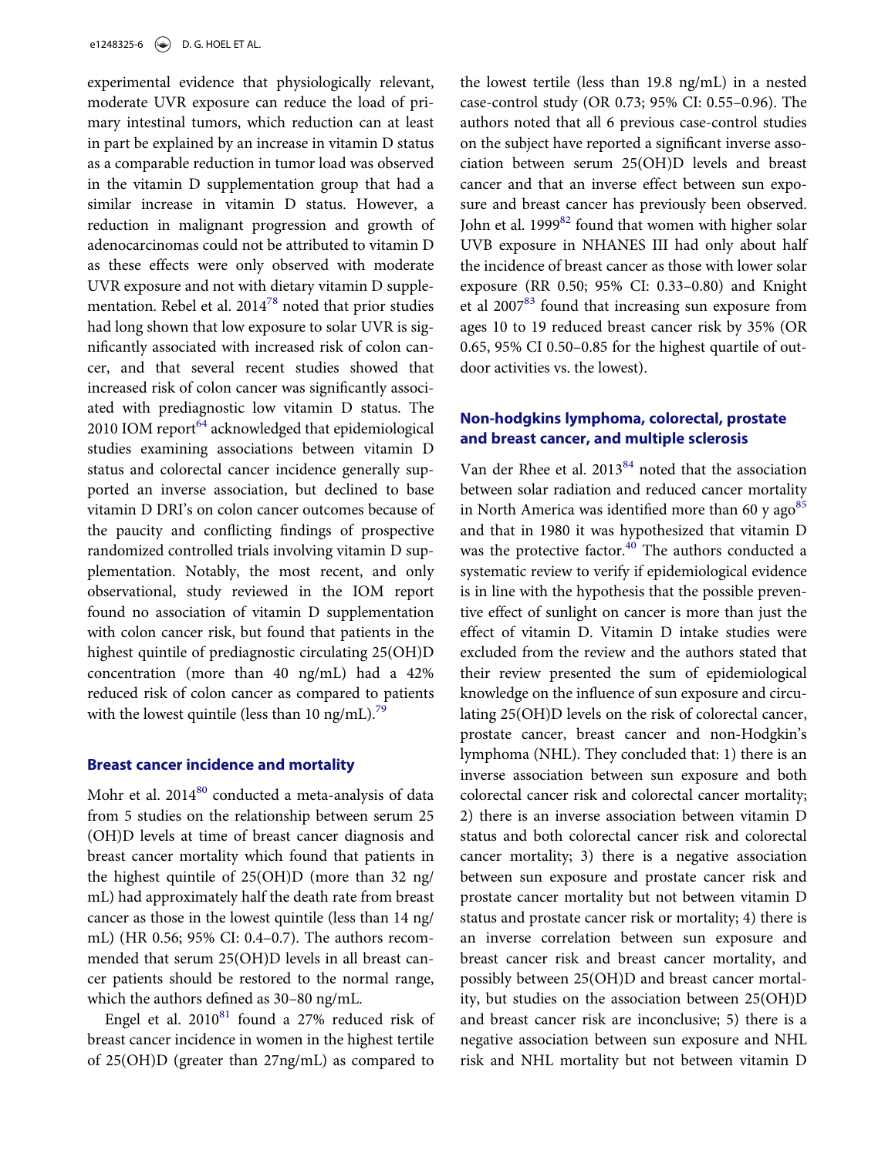experimental evidence that physiologically relevant, moderate UVR exposure can reduce the load of primary intestinal tumors, which reduction can at least in part be explained by an increase in vitamin D status as a comparable reduction in tumor load was observed in the vitamin D supplementation group that had a similar increase in vitamin D status. However, a reduction in malignant progression and growth of adenocarcinomas could not be attributed to vitamin D as these effects were only observed with moderate UVR exposure and not with dietary vitamin D supplementation. Rebel et al.  $2014^{78}$  $2014^{78}$  $2014^{78}$  noted that prior studies had long shown that low exposure to solar UVR is significantly associated with increased risk of colon cancer, and that several recent studies showed that increased risk of colon cancer was significantly associated with prediagnostic low vitamin D status. The 2010 IOM report $^{64}$  acknowledged that epidemiological studies examining associations between vitamin D status and colorectal cancer incidence generally supported an inverse association, but declined to base vitamin D DRI's on colon cancer outcomes because of the paucity and conflicting findings of prospective randomized controlled trials involving vitamin D supplementation. Notably, the most recent, and only observational, study reviewed in the IOM report found no association of vitamin D supplementation with colon cancer risk, but found that patients in the highest quintile of prediagnostic circulating 25(OH)D concentration (more than 40 ng/mL) had a 42% reduced risk of colon cancer as compared to patients with the lowest quintile (less than 10 ng/mL).<sup>[79](#page-14-15)</sup>

## Breast cancer incidence and mortality

Mohr et al.  $2014^{80}$  conducted a meta-analysis of data from 5 studies on the relationship between serum 25 (OH)D levels at time of breast cancer diagnosis and breast cancer mortality which found that patients in the highest quintile of 25(OH)D (more than 32 ng/ mL) had approximately half the death rate from breast cancer as those in the lowest quintile (less than 14 ng/ mL) (HR 0.56; 95% CI: 0.4–0.7). The authors recommended that serum 25(OH)D levels in all breast cancer patients should be restored to the normal range, which the authors defined as 30–80 ng/mL.

Engel et al.  $2010^{81}$  found a 27% reduced risk of breast cancer incidence in women in the highest tertile of 25(OH)D (greater than 27ng/mL) as compared to

the lowest tertile (less than 19.8 ng/mL) in a nested case-control study (OR 0.73; 95% CI: 0.55–0.96). The authors noted that all 6 previous case-control studies on the subject have reported a significant inverse association between serum 25(OH)D levels and breast cancer and that an inverse effect between sun exposure and breast cancer has previously been observed. John et al.  $1999^{82}$  found that women with higher solar UVB exposure in NHANES III had only about half the incidence of breast cancer as those with lower solar exposure (RR 0.50; 95% CI: 0.33–0.80) and Knight et al  $2007^{83}$  $2007^{83}$  $2007^{83}$  found that increasing sun exposure from ages 10 to 19 reduced breast cancer risk by 35% (OR 0.65, 95% CI 0.50–0.85 for the highest quartile of outdoor activities vs. the lowest).

# Non-hodgkins lymphoma, colorectal, prostate and breast cancer, and multiple sclerosis

Van der Rhee et al. 2013<sup>84</sup> noted that the association between solar radiation and reduced cancer mortality in North America was identified more than 60 y ago $85$ and that in 1980 it was hypothesized that vitamin D was the protective factor.<sup>[40](#page-13-2)</sup> The authors conducted a systematic review to verify if epidemiological evidence is in line with the hypothesis that the possible preventive effect of sunlight on cancer is more than just the effect of vitamin D. Vitamin D intake studies were excluded from the review and the authors stated that their review presented the sum of epidemiological knowledge on the influence of sun exposure and circulating 25(OH)D levels on the risk of colorectal cancer, prostate cancer, breast cancer and non-Hodgkin's lymphoma (NHL). They concluded that: 1) there is an inverse association between sun exposure and both colorectal cancer risk and colorectal cancer mortality; 2) there is an inverse association between vitamin D status and both colorectal cancer risk and colorectal cancer mortality; 3) there is a negative association between sun exposure and prostate cancer risk and prostate cancer mortality but not between vitamin D status and prostate cancer risk or mortality; 4) there is an inverse correlation between sun exposure and breast cancer risk and breast cancer mortality, and possibly between 25(OH)D and breast cancer mortality, but studies on the association between 25(OH)D and breast cancer risk are inconclusive; 5) there is a negative association between sun exposure and NHL risk and NHL mortality but not between vitamin D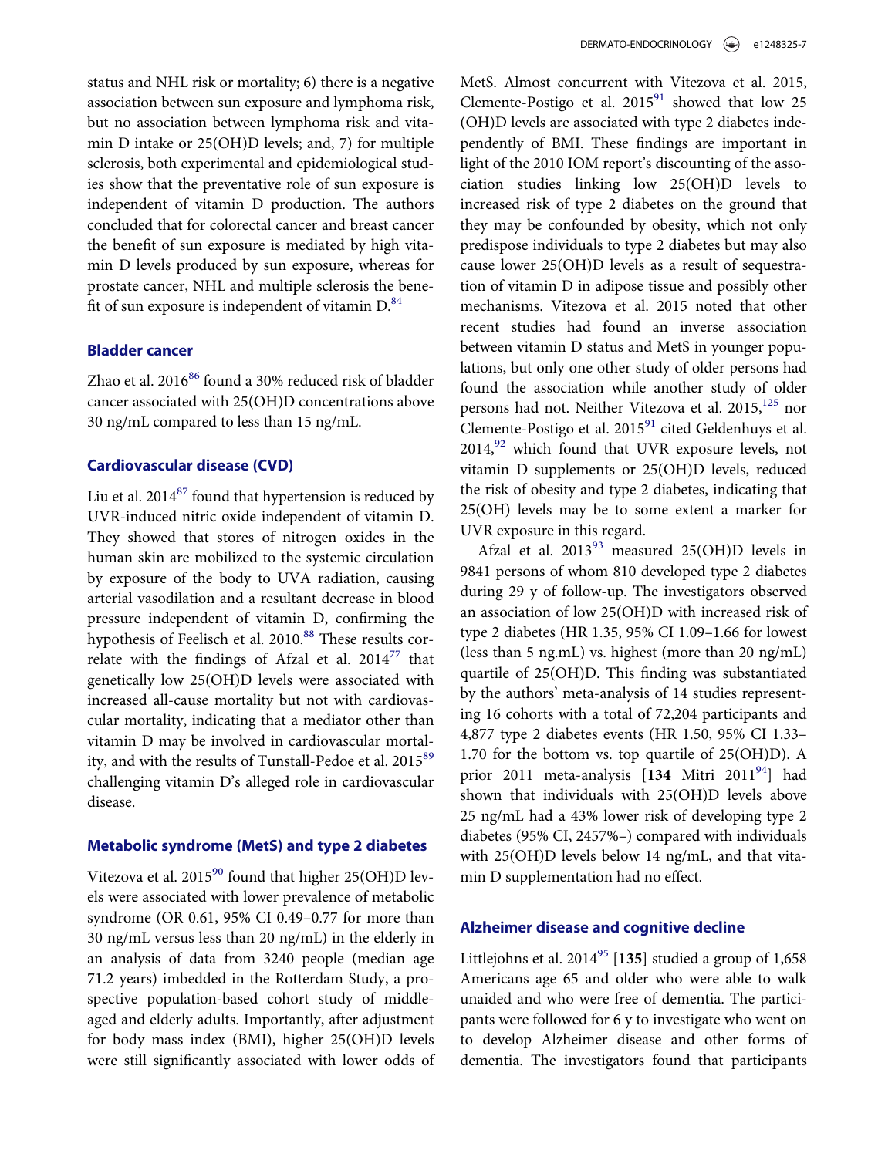status and NHL risk or mortality; 6) there is a negative association between sun exposure and lymphoma risk, but no association between lymphoma risk and vitamin D intake or 25(OH)D levels; and, 7) for multiple sclerosis, both experimental and epidemiological studies show that the preventative role of sun exposure is independent of vitamin D production. The authors concluded that for colorectal cancer and breast cancer the benefit of sun exposure is mediated by high vitamin D levels produced by sun exposure, whereas for prostate cancer, NHL and multiple sclerosis the benefit of sun exposure is independent of vitamin  $D^{84}$  $D^{84}$  $D^{84}$ .

#### Bladder cancer

Zhao et al. 2016<sup>[86](#page-15-1)</sup> found a 30% reduced risk of bladder cancer associated with 25(OH)D concentrations above 30 ng/mL compared to less than 15 ng/mL.

#### Cardiovascular disease (CVD)

Liu et al.  $2014^{87}$  $2014^{87}$  $2014^{87}$  found that hypertension is reduced by UVR-induced nitric oxide independent of vitamin D. They showed that stores of nitrogen oxides in the human skin are mobilized to the systemic circulation by exposure of the body to UVA radiation, causing arterial vasodilation and a resultant decrease in blood pressure independent of vitamin D, confirming the hypothesis of Feelisch et al. 2010.<sup>[88](#page-15-3)</sup> These results correlate with the findings of Afzal et al.  $2014^{77}$  $2014^{77}$  $2014^{77}$  that genetically low 25(OH)D levels were associated with increased all-cause mortality but not with cardiovascular mortality, indicating that a mediator other than vitamin D may be involved in cardiovascular mortal-ity, and with the results of Tunstall-Pedoe et al. 2015<sup>[89](#page-15-4)</sup> challenging vitamin D's alleged role in cardiovascular disease.

#### Metabolic syndrome (MetS) and type 2 diabetes

Vitezova et al.  $2015^{90}$  found that higher 25(OH)D levels were associated with lower prevalence of metabolic syndrome (OR 0.61, 95% CI 0.49–0.77 for more than 30 ng/mL versus less than 20 ng/mL) in the elderly in an analysis of data from 3240 people (median age 71.2 years) imbedded in the Rotterdam Study, a prospective population-based cohort study of middleaged and elderly adults. Importantly, after adjustment for body mass index (BMI), higher 25(OH)D levels were still significantly associated with lower odds of

MetS. Almost concurrent with Vitezova et al. 2015, Clemente-Postigo et al.  $2015<sup>91</sup>$  showed that low 25 (OH)D levels are associated with type 2 diabetes independently of BMI. These findings are important in light of the 2010 IOM report's discounting of the association studies linking low 25(OH)D levels to increased risk of type 2 diabetes on the ground that they may be confounded by obesity, which not only predispose individuals to type 2 diabetes but may also cause lower 25(OH)D levels as a result of sequestration of vitamin D in adipose tissue and possibly other mechanisms. Vitezova et al. 2015 noted that other recent studies had found an inverse association between vitamin D status and MetS in younger populations, but only one other study of older persons had found the association while another study of older persons had not. Neither Vitezova et al. 2015,<sup>[125](#page-16-0)</sup> nor Clemente-Postigo et al. 2015<sup>91</sup> cited Geldenhuys et al.  $2014$ ,  $92$  which found that UVR exposure levels, not vitamin D supplements or 25(OH)D levels, reduced the risk of obesity and type 2 diabetes, indicating that 25(OH) levels may be to some extent a marker for UVR exposure in this regard.

Afzal et al.  $2013^{93}$  measured  $25(OH)D$  levels in 9841 persons of whom 810 developed type 2 diabetes during 29 y of follow-up. The investigators observed an association of low 25(OH)D with increased risk of type 2 diabetes (HR 1.35, 95% CI 1.09–1.66 for lowest (less than 5 ng.mL) vs. highest (more than 20 ng/mL) quartile of 25(OH)D. This finding was substantiated by the authors' meta-analysis of 14 studies representing 16 cohorts with a total of 72,204 participants and 4,877 type 2 diabetes events (HR 1.50, 95% CI 1.33– 1.70 for the bottom vs. top quartile of 25(OH)D). A prior 2011 meta-analysis  $[134 \text{ Mitri } 2011^{94}]$  had shown that individuals with 25(OH)D levels above 25 ng/mL had a 43% lower risk of developing type 2 diabetes (95% CI, 2457%–) compared with individuals with 25(OH)D levels below 14 ng/mL, and that vitamin D supplementation had no effect.

## Alzheimer disease and cognitive decline

Littlejohns et al.  $2014^{95}$  $2014^{95}$  $2014^{95}$  [135] studied a group of 1,658 Americans age 65 and older who were able to walk unaided and who were free of dementia. The participants were followed for 6 y to investigate who went on to develop Alzheimer disease and other forms of dementia. The investigators found that participants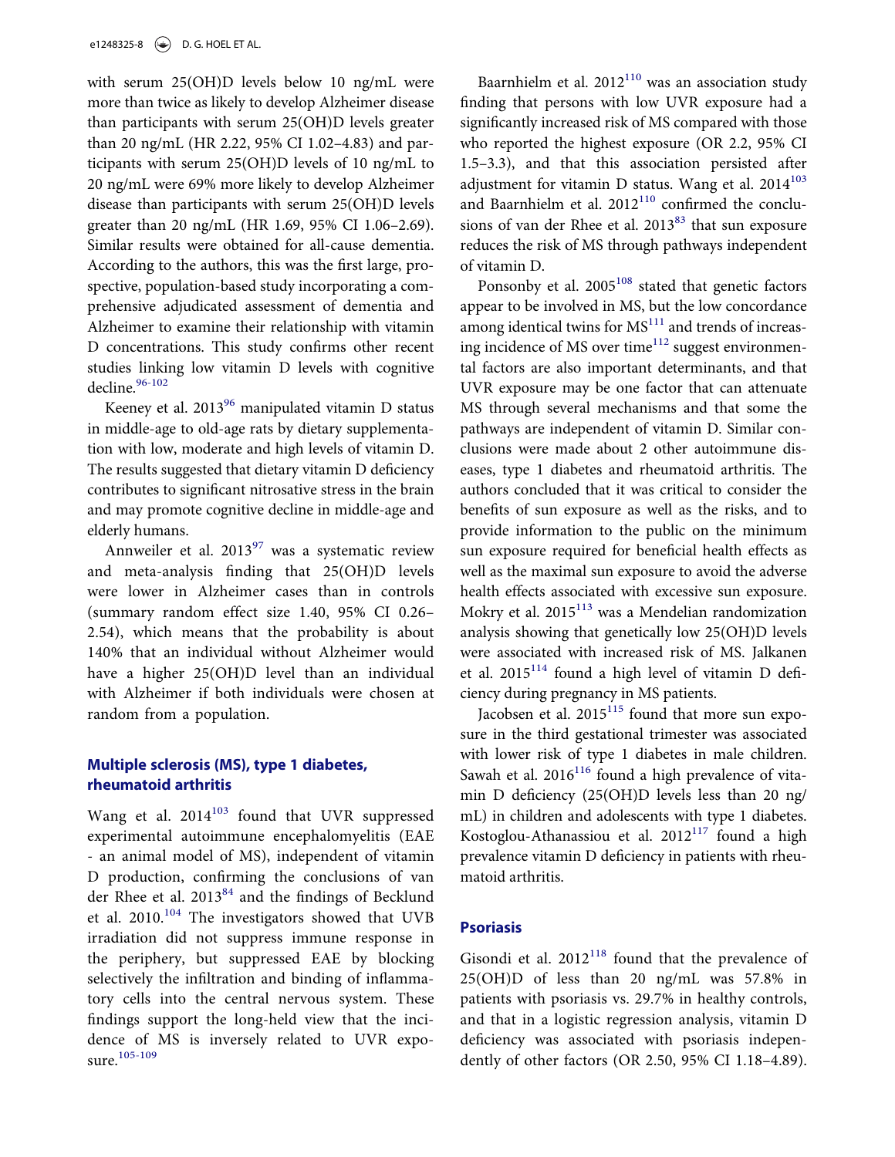with serum 25(OH)D levels below 10 ng/mL were more than twice as likely to develop Alzheimer disease than participants with serum 25(OH)D levels greater than 20 ng/mL (HR 2.22, 95% CI 1.02–4.83) and participants with serum 25(OH)D levels of 10 ng/mL to 20 ng/mL were 69% more likely to develop Alzheimer disease than participants with serum 25(OH)D levels greater than 20 ng/mL (HR 1.69, 95% CI 1.06–2.69). Similar results were obtained for all-cause dementia. According to the authors, this was the first large, prospective, population-based study incorporating a comprehensive adjudicated assessment of dementia and Alzheimer to examine their relationship with vitamin D concentrations. This study confirms other recent studies linking low vitamin D levels with cognitive decline.<sup>[96-102](#page-15-11)</sup>

Keeney et al.  $2013^{96}$  manipulated vitamin D status in middle-age to old-age rats by dietary supplementation with low, moderate and high levels of vitamin D. The results suggested that dietary vitamin D deficiency contributes to significant nitrosative stress in the brain and may promote cognitive decline in middle-age and elderly humans.

Annweiler et al.  $2013^{97}$  $2013^{97}$  $2013^{97}$  was a systematic review and meta-analysis finding that 25(OH)D levels were lower in Alzheimer cases than in controls (summary random effect size 1.40, 95% CI 0.26– 2.54), which means that the probability is about 140% that an individual without Alzheimer would have a higher 25(OH)D level than an individual with Alzheimer if both individuals were chosen at random from a population.

# Multiple sclerosis (MS), type 1 diabetes, rheumatoid arthritis

Wang et al. 2014<sup>[103](#page-15-13)</sup> found that UVR suppressed experimental autoimmune encephalomyelitis (EAE - an animal model of MS), independent of vitamin D production, confirming the conclusions of van der Rhee et al. 2013<sup>[84](#page-14-20)</sup> and the findings of Becklund et al. 2010.[104](#page-15-14) The investigators showed that UVB irradiation did not suppress immune response in the periphery, but suppressed EAE by blocking selectively the infiltration and binding of inflammatory cells into the central nervous system. These findings support the long-held view that the incidence of MS is inversely related to UVR expo-sure.<sup>[105-109](#page-15-15)</sup>

Baarnhielm et al.  $2012^{110}$  was an association study finding that persons with low UVR exposure had a significantly increased risk of MS compared with those who reported the highest exposure (OR 2.2, 95% CI 1.5–3.3), and that this association persisted after adjustment for vitamin D status. Wang et al.  $2014^{103}$  $2014^{103}$  $2014^{103}$ and Baarnhielm et al.  $2012^{110}$  confirmed the conclusions of van der Rhee et al.  $2013^{83}$  $2013^{83}$  $2013^{83}$  that sun exposure reduces the risk of MS through pathways independent of vitamin D.

Ponsonby et al. 2005<sup>108</sup> stated that genetic factors appear to be involved in MS, but the low concordance among identical twins for  $MS<sup>111</sup>$  $MS<sup>111</sup>$  $MS<sup>111</sup>$  and trends of increasing incidence of MS over time $112$  suggest environmental factors are also important determinants, and that UVR exposure may be one factor that can attenuate MS through several mechanisms and that some the pathways are independent of vitamin D. Similar conclusions were made about 2 other autoimmune diseases, type 1 diabetes and rheumatoid arthritis. The authors concluded that it was critical to consider the benefits of sun exposure as well as the risks, and to provide information to the public on the minimum sun exposure required for beneficial health effects as well as the maximal sun exposure to avoid the adverse health effects associated with excessive sun exposure. Mokry et al.  $2015^{113}$  was a Mendelian randomization analysis showing that genetically low 25(OH)D levels were associated with increased risk of MS. Jalkanen et al.  $2015^{114}$  found a high level of vitamin D deficiency during pregnancy in MS patients.

Jacobsen et al. 2015<sup>115</sup> found that more sun exposure in the third gestational trimester was associated with lower risk of type 1 diabetes in male children. Sawah et al.  $2016^{116}$  $2016^{116}$  $2016^{116}$  found a high prevalence of vitamin D deficiency (25(OH)D levels less than 20 ng/ mL) in children and adolescents with type 1 diabetes. Kostoglou-Athanassiou et al.  $2012^{117}$  found a high prevalence vitamin D deficiency in patients with rheumatoid arthritis.

## Psoriasis

Gisondi et al.  $2012^{118}$  $2012^{118}$  $2012^{118}$  found that the prevalence of 25(OH)D of less than 20 ng/mL was 57.8% in patients with psoriasis vs. 29.7% in healthy controls, and that in a logistic regression analysis, vitamin D deficiency was associated with psoriasis independently of other factors (OR 2.50, 95% CI 1.18–4.89).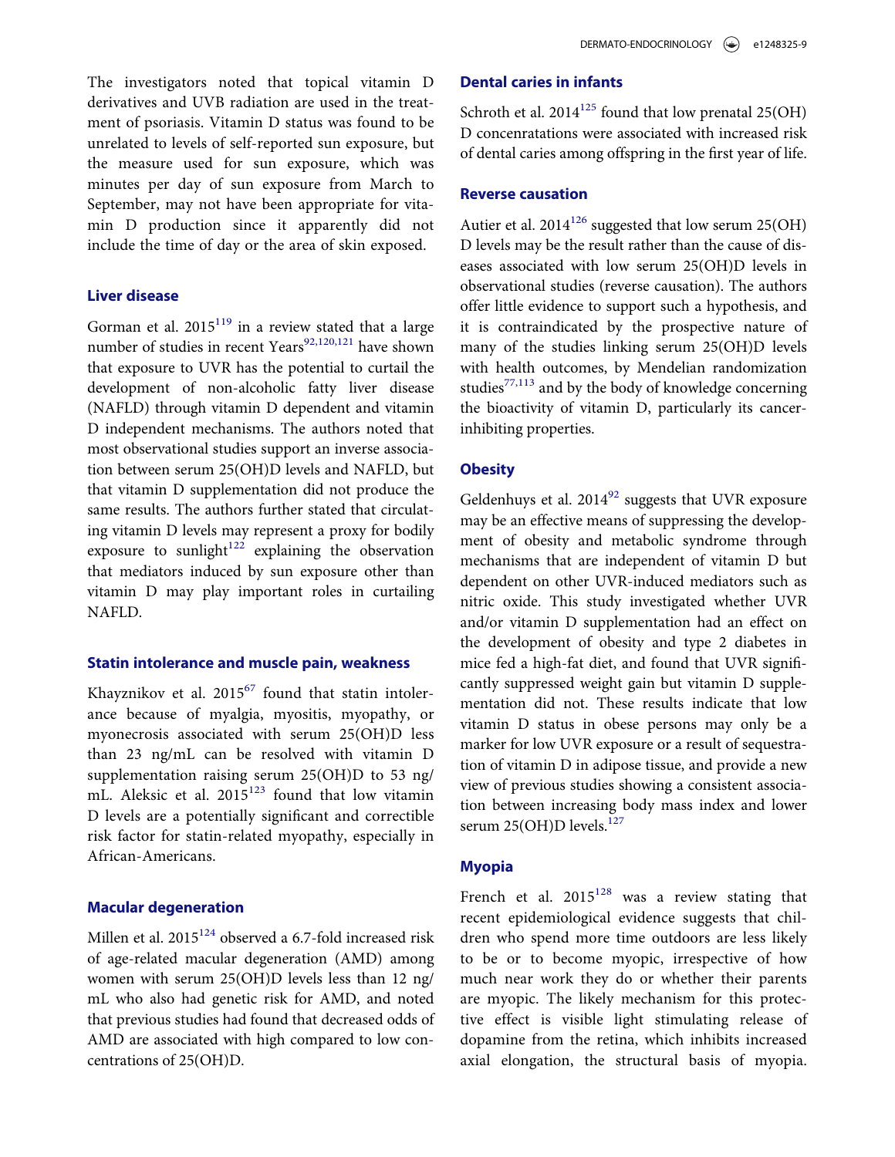The investigators noted that topical vitamin D derivatives and UVB radiation are used in the treatment of psoriasis. Vitamin D status was found to be unrelated to levels of self-reported sun exposure, but the measure used for sun exposure, which was minutes per day of sun exposure from March to September, may not have been appropriate for vitamin D production since it apparently did not include the time of day or the area of skin exposed.

#### Liver disease

Gorman et al.  $2015^{119}$  in a review stated that a large number of studies in recent Years<sup>92,120,121</sup> have shown that exposure to UVR has the potential to curtail the development of non-alcoholic fatty liver disease (NAFLD) through vitamin D dependent and vitamin D independent mechanisms. The authors noted that most observational studies support an inverse association between serum 25(OH)D levels and NAFLD, but that vitamin D supplementation did not produce the same results. The authors further stated that circulating vitamin D levels may represent a proxy for bodily exposure to sunlight<sup>[122](#page-16-12)</sup> explaining the observation that mediators induced by sun exposure other than vitamin D may play important roles in curtailing NAFLD.

#### Statin intolerance and muscle pain, weakness

Khayznikov et al. 2015<sup>[67](#page-14-21)</sup> found that statin intolerance because of myalgia, myositis, myopathy, or myonecrosis associated with serum 25(OH)D less than 23 ng/mL can be resolved with vitamin D supplementation raising serum 25(OH)D to 53 ng/ mL. Aleksic et al.  $2015^{123}$  $2015^{123}$  $2015^{123}$  found that low vitamin D levels are a potentially significant and correctible risk factor for statin-related myopathy, especially in African-Americans.

# Macular degeneration

Millen et al. 2015<sup>124</sup> observed a 6.7-fold increased risk of age-related macular degeneration (AMD) among women with serum 25(OH)D levels less than 12 ng/ mL who also had genetic risk for AMD, and noted that previous studies had found that decreased odds of AMD are associated with high compared to low concentrations of 25(OH)D.

## Dental caries in infants

Schroth et al.  $2014^{125}$  $2014^{125}$  $2014^{125}$  found that low prenatal  $25(OH)$ D concenratations were associated with increased risk of dental caries among offspring in the first year of life.

## Reverse causation

Autier et al.  $2014^{126}$  suggested that low serum 25(OH) D levels may be the result rather than the cause of diseases associated with low serum 25(OH)D levels in observational studies (reverse causation). The authors offer little evidence to support such a hypothesis, and it is contraindicated by the prospective nature of many of the studies linking serum 25(OH)D levels with health outcomes, by Mendelian randomization studies<sup>[77,113](#page-14-12)</sup> and by the body of knowledge concerning the bioactivity of vitamin D, particularly its cancerinhibiting properties.

#### **Obesity**

Geldenhuys et al.  $2014^{92}$  suggests that UVR exposure may be an effective means of suppressing the development of obesity and metabolic syndrome through mechanisms that are independent of vitamin D but dependent on other UVR-induced mediators such as nitric oxide. This study investigated whether UVR and/or vitamin D supplementation had an effect on the development of obesity and type 2 diabetes in mice fed a high-fat diet, and found that UVR significantly suppressed weight gain but vitamin D supplementation did not. These results indicate that low vitamin D status in obese persons may only be a marker for low UVR exposure or a result of sequestration of vitamin D in adipose tissue, and provide a new view of previous studies showing a consistent association between increasing body mass index and lower serum 25(OH)D levels.<sup>[127](#page-16-16)</sup>

## Myopia

French et al.  $2015^{128}$  $2015^{128}$  $2015^{128}$  was a review stating that recent epidemiological evidence suggests that children who spend more time outdoors are less likely to be or to become myopic, irrespective of how much near work they do or whether their parents are myopic. The likely mechanism for this protective effect is visible light stimulating release of dopamine from the retina, which inhibits increased axial elongation, the structural basis of myopia.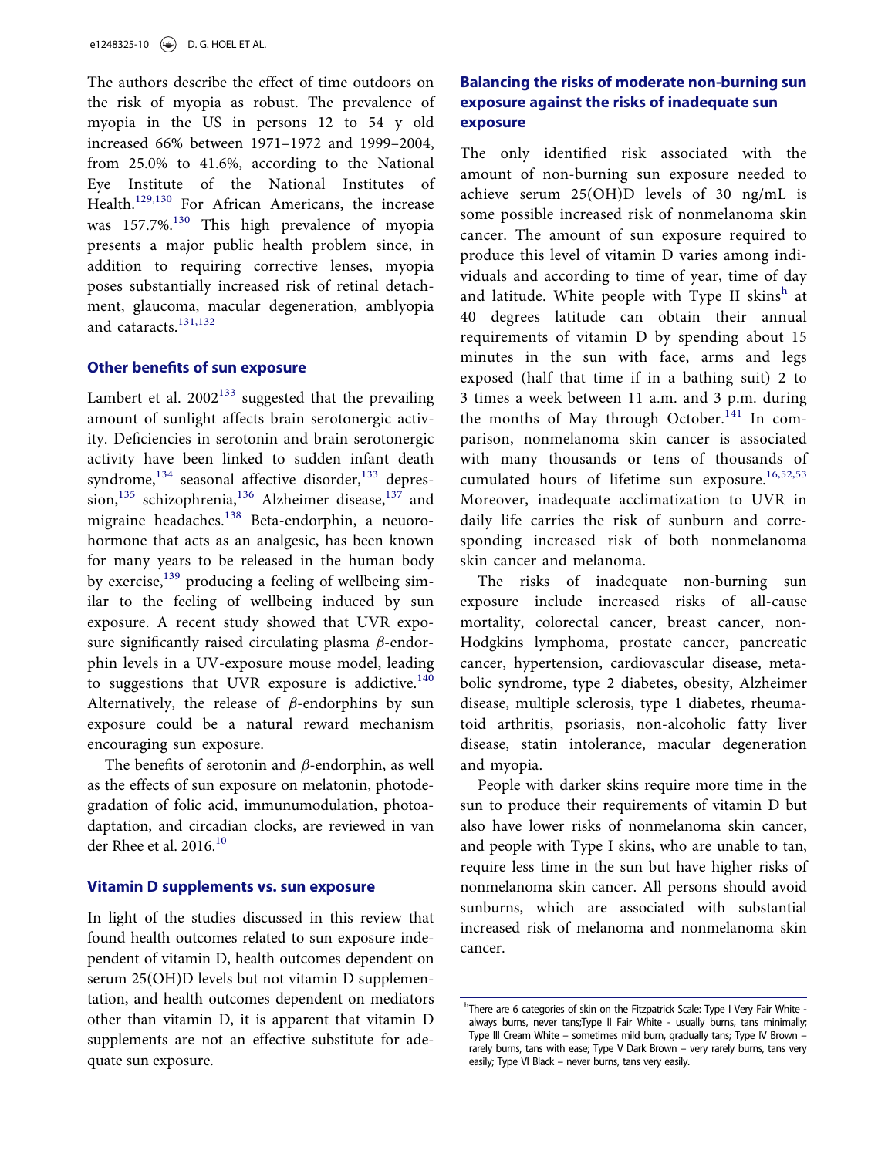The authors describe the effect of time outdoors on the risk of myopia as robust. The prevalence of myopia in the US in persons 12 to 54 y old increased 66% between 1971–1972 and 1999–2004, from 25.0% to 41.6%, according to the National Eye Institute of the National Institutes of Health.[129,130](#page-16-18) For African Americans, the increase was 157.7%.<sup>[130](#page-16-19)</sup> This high prevalence of myopia presents a major public health problem since, in addition to requiring corrective lenses, myopia poses substantially increased risk of retinal detachment, glaucoma, macular degeneration, amblyopia and cataracts.[131,132](#page-17-0)

#### Other benefits of sun exposure

Lambert et al.  $2002^{133}$  $2002^{133}$  $2002^{133}$  suggested that the prevailing amount of sunlight affects brain serotonergic activity. Deficiencies in serotonin and brain serotonergic activity have been linked to sudden infant death syndrome, $^{134}$  $^{134}$  $^{134}$  seasonal affective disorder, $^{133}$  $^{133}$  $^{133}$  depres-sion,<sup>[135](#page-17-3)</sup> schizophrenia,<sup>[136](#page-17-4)</sup> Alzheimer disease,<sup>[137](#page-17-5)</sup> and migraine headaches.<sup>[138](#page-17-6)</sup> Beta-endorphin, a neuorohormone that acts as an analgesic, has been known for many years to be released in the human body by exercise,<sup>[139](#page-17-7)</sup> producing a feeling of wellbeing similar to the feeling of wellbeing induced by sun exposure. A recent study showed that UVR exposure significantly raised circulating plasma  $\beta$ -endorphin levels in a UV-exposure mouse model, leading to suggestions that UVR exposure is addictive. $140$ Alternatively, the release of  $\beta$ -endorphins by sun exposure could be a natural reward mechanism encouraging sun exposure.

The benefits of serotonin and  $\beta$ -endorphin, as well as the effects of sun exposure on melatonin, photodegradation of folic acid, immunumodulation, photoadaptation, and circadian clocks, are reviewed in van der Rhee et al. 2016.<sup>10</sup>

#### Vitamin D supplements vs. sun exposure

<span id="page-10-0"></span>In light of the studies discussed in this review that found health outcomes related to sun exposure independent of vitamin D, health outcomes dependent on serum 25(OH)D levels but not vitamin D supplementation, and health outcomes dependent on mediators other than vitamin D, it is apparent that vitamin D supplements are not an effective substitute for adequate sun exposure.

# Balancing the risks of moderate non-burning sun exposure against the risks of inadequate sun exposure

The only identified risk associated with the amount of non-burning sun exposure needed to achieve serum 25(OH)D levels of 30 ng/mL is some possible increased risk of nonmelanoma skin cancer. The amount of sun exposure required to produce this level of vitamin D varies among individuals and according to time of year, time of day and latitude. W[h](#page-10-0)ite people with Type II skinsh at 40 degrees latitude can obtain their annual requirements of vitamin D by spending about 15 minutes in the sun with face, arms and legs exposed (half that time if in a bathing suit) 2 to 3 times a week between 11 a.m. and 3 p.m. during the months of May through October.<sup>[141](#page-17-9)</sup> In comparison, nonmelanoma skin cancer is associated with many thousands or tens of thousands of cumulated hours of lifetime sun exposure.<sup>[16,52,53](#page-12-17)</sup> Moreover, inadequate acclimatization to UVR in daily life carries the risk of sunburn and corresponding increased risk of both nonmelanoma skin cancer and melanoma.

The risks of inadequate non-burning sun exposure include increased risks of all-cause mortality, colorectal cancer, breast cancer, non-Hodgkins lymphoma, prostate cancer, pancreatic cancer, hypertension, cardiovascular disease, metabolic syndrome, type 2 diabetes, obesity, Alzheimer disease, multiple sclerosis, type 1 diabetes, rheumatoid arthritis, psoriasis, non-alcoholic fatty liver disease, statin intolerance, macular degeneration and myopia.

People with darker skins require more time in the sun to produce their requirements of vitamin D but also have lower risks of nonmelanoma skin cancer, and people with Type I skins, who are unable to tan, require less time in the sun but have higher risks of nonmelanoma skin cancer. All persons should avoid sunburns, which are associated with substantial increased risk of melanoma and nonmelanoma skin cancer.

<sup>&</sup>lt;sup>h</sup>There are 6 categories of skin on the Fitzpatrick Scale: Type I Very Fair White always burns, never tans;Type II Fair White - usually burns, tans minimally; Type III Cream White – sometimes mild burn, gradually tans; Type IV Brown – rarely burns, tans with ease; Type V Dark Brown – very rarely burns, tans very easily; Type VI Black – never burns, tans very easily.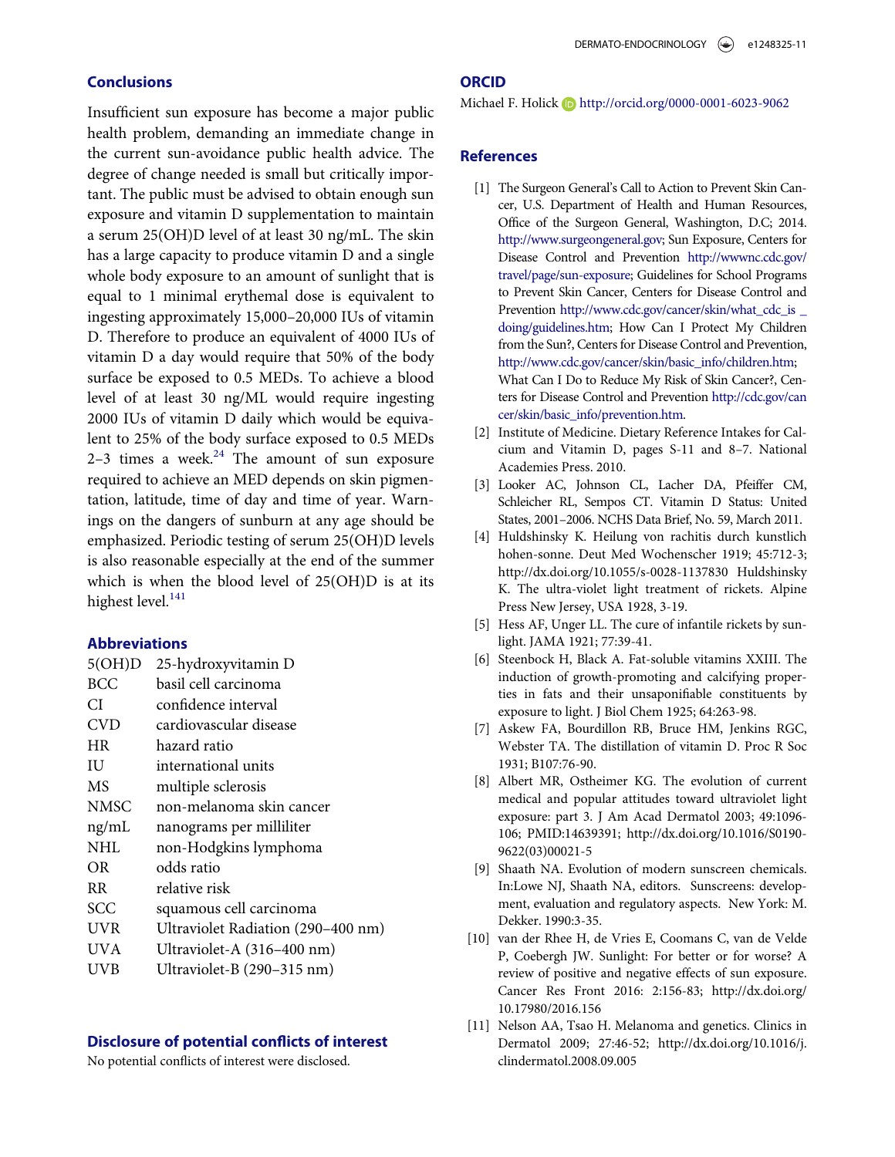## **Conclusions**

<span id="page-11-1"></span><span id="page-11-0"></span>Insufficient sun exposure has become a major public health problem, demanding an immediate change in the current sun-avoidance public health advice. The degree of change needed is small but critically important. The public must be advised to obtain enough sun exposure and vitamin D supplementation to maintain a serum 25(OH)D level of at least 30 ng/mL. The skin has a large capacity to produce vitamin D and a single whole body exposure to an amount of sunlight that is equal to 1 minimal erythemal dose is equivalent to ingesting approximately 15,000–20,000 IUs of vitamin D. Therefore to produce an equivalent of 4000 IUs of vitamin D a day would require that 50% of the body surface be exposed to 0.5 MEDs. To achieve a blood level of at least 30 ng/ML would require ingesting 2000 IUs of vitamin D daily which would be equivalent to 25% of the body surface exposed to 0.5 MEDs 2-3 times a week. $24$  The amount of sun exposure required to achieve an MED depends on skin pigmentation, latitude, time of day and time of year. Warnings on the dangers of sunburn at any age should be emphasized. Periodic testing of serum 25(OH)D levels is also reasonable especially at the end of the summer which is when the blood level of 25(OH)D is at its highest level. $141$ 

#### <span id="page-11-10"></span><span id="page-11-7"></span><span id="page-11-2"></span>Abbreviations

<span id="page-11-5"></span><span id="page-11-4"></span><span id="page-11-3"></span>

| 5(OH)D      | 25-hydroxyvitamin D                |
|-------------|------------------------------------|
| <b>BCC</b>  | basil cell carcinoma               |
| СI          | confidence interval                |
| <b>CVD</b>  | cardiovascular disease             |
| <b>HR</b>   | hazard ratio                       |
| ΙU          | international units                |
| MS          | multiple sclerosis                 |
| <b>NMSC</b> | non-melanoma skin cancer           |
| ng/mL       | nanograms per milliliter           |
| NHL         | non-Hodgkins lymphoma              |
| <b>OR</b>   | odds ratio                         |
| RR.         | relative risk                      |
| <b>SCC</b>  | squamous cell carcinoma            |
| UVR         | Ultraviolet Radiation (290-400 nm) |
| UVA         | Ultraviolet-A (316-400 nm)         |
| UVB         | Ultraviolet-B (290-315 nm)         |
|             |                                    |

#### <span id="page-11-9"></span><span id="page-11-8"></span><span id="page-11-6"></span>Disclosure of potential conflicts of interest

No potential conflicts of interest were disclosed.

#### **ORCID**

#### Michael F. Holick **b** <http://orcid.org/0000-0001-6023-9062>

#### **References**

- [1] The Surgeon General's Call to Action to Prevent Skin Cancer, U.S. Department of Health and Human Resources, Office of the Surgeon General, Washington, D.C; 2014. [http://www.surgeongeneral.gov;](http://www.surgeongeneral.gov) Sun Exposure, Centers for Disease Control and Prevention [http://wwwnc.cdc.gov/](http://wwwnc.cdc.gov/travel/page/sun-exposure) [travel/page/sun-exposure](http://wwwnc.cdc.gov/travel/page/sun-exposure); Guidelines for School Programs to Prevent Skin Cancer, Centers for Disease Control and Prevention [http://www.cdc.gov/cancer/skin/what\\_cdc\\_is \\_](http://www.cdc.gov/cancer/skin/what_cdc_is_doing/guidelines.htm) [doing/guidelines.htm](http://www.cdc.gov/cancer/skin/what_cdc_is_doing/guidelines.htm); How Can I Protect My Children from the Sun?, Centers for Disease Control and Prevention, [http://www.cdc.gov/cancer/skin/basic\\_info/children.htm](http://www.cdc.gov/cancer/skin/basic_info/children.htm); What Can I Do to Reduce My Risk of Skin Cancer?, Centers for Disease Control and Prevention [http://cdc.gov/can](http://cdc.gov/cancer/skin/basic_info/prevention.htm) [cer/skin/basic\\_info/prevention.htm](http://cdc.gov/cancer/skin/basic_info/prevention.htm).
- [2] Institute of Medicine. Dietary Reference Intakes for Calcium and Vitamin D, pages S-11 and 8–7. National Academies Press. 2010.
- [3] Looker AC, Johnson CL, Lacher DA, Pfeiffer CM, Schleicher RL, Sempos CT. Vitamin D Status: United States, 2001–2006. NCHS Data Brief, No. 59, March 2011.
- [4] Huldshinsky K. Heilung von rachitis durch kunstlich hohen-sonne. Deut Med Wochenscher 1919; 45:712-3; http://dx.doi.org/[10.1055/s-0028-1137830 Huldshinsky](http://dx.doi.org/10.1055/s-0028-1137830) [K. The ultra-violet light treatment of rickets. Alpine](http://dx.doi.org/10.1055/s-0028-1137830) [Press New Jersey, USA 1928, 3-19.](http://dx.doi.org/10.1055/s-0028-1137830)
- [5] Hess AF, Unger LL. The cure of infantile rickets by sunlight. JAMA 1921; 77:39-41.
- [6] Steenbock H, Black A. Fat-soluble vitamins XXIII. The induction of growth-promoting and calcifying properties in fats and their unsaponifiable constituents by exposure to light. J Biol Chem 1925; 64:263-98.
- [7] Askew FA, Bourdillon RB, Bruce HM, Jenkins RGC, Webster TA. The distillation of vitamin D. Proc R Soc 1931; B107:76-90.
- [8] Albert MR, Ostheimer KG. The evolution of current medical and popular attitudes toward ultraviolet light exposure: part 3. J Am Acad Dermatol 2003; 49:1096- 106; PMID[:14639391; http://dx.doi.org/10.1016/S0190-](http://dx.doi.org/10.1016/S0190-9622(03)00021-5) [9622\(03\)00021-5](http://dx.doi.org/10.1016/S0190-9622(03)00021-5)
- [9] Shaath NA. Evolution of modern sunscreen chemicals. In:Lowe NJ, Shaath NA, editors. Sunscreens: development, evaluation and regulatory aspects. New York: M. Dekker. 1990:3-35.
- [10] van der Rhee H, de Vries E, Coomans C, van de Velde P, Coebergh JW. Sunlight: For better or for worse? A review of positive and negative effects of sun exposure. Cancer Res Front 2016: 2:156-83; http://dx.doi.org/ [10.17980/2016.156](http://dx.doi.org/10.17980/2016.156)
- [11] Nelson AA, Tsao H. Melanoma and genetics. Clinics in Dermatol 2009; 27:46-52; http://dx.doi.org[/10.1016/j.](http://dx.doi.org/10.1016/j.clindermatol.2008.09.005) [clindermatol.2008.09.005](http://dx.doi.org/10.1016/j.clindermatol.2008.09.005)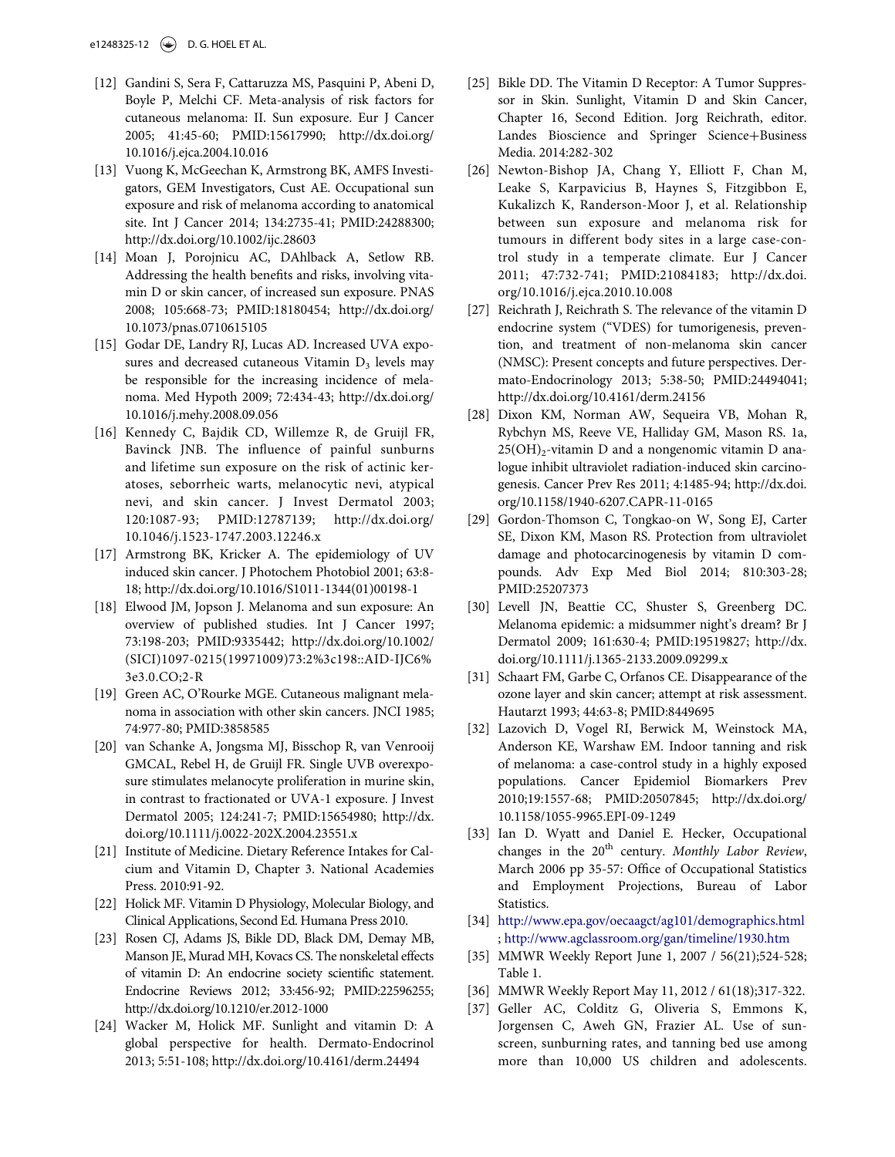- <span id="page-12-5"></span><span id="page-12-0"></span>[12] Gandini S, Sera F, Cattaruzza MS, Pasquini P, Abeni D, Boyle P, Melchi CF. Meta-analysis of risk factors for cutaneous melanoma: II. Sun exposure. Eur J Cancer 2005; 41:45-60; PMID:[15617990; http://dx.doi.org/](http://dx.doi.org/15617990) [10.1016/j.ejca.2004.10.016](http://dx.doi.org/10.1016/j.ejca.2004.10.016)
- <span id="page-12-1"></span>[13] Vuong K, McGeechan K, Armstrong BK, AMFS Investigators, GEM Investigators, Cust AE. Occupational sun exposure and risk of melanoma according to anatomical site. Int J Cancer 2014; 134:2735-41; PMID:[24288300;](http://dx.doi.org/24288300) <http://dx.doi.org/10.1002/ijc.28603>
- [14] Moan J, Porojnicu AC, DAhlback A, Setlow RB. Addressing the health benefits and risks, involving vitamin D or skin cancer, of increased sun exposure. PNAS 2008; 105:668-73; PMID:[18180454; http://dx.doi.org/](http://dx.doi.org/18180454) [10.1073/pnas.0710615105](http://dx.doi.org/10.1073/pnas.0710615105)
- <span id="page-12-10"></span>[15] Godar DE, Landry RJ, Lucas AD. Increased UVA exposures and decreased cutaneous Vitamin  $D_3$  levels may be responsible for the increasing incidence of melanoma. Med Hypoth 2009; 72:434-43; http://dx.doi.org/ [10.1016/j.mehy.2008.09.056](http://dx.doi.org/10.1016/j.mehy.2008.09.056)
- <span id="page-12-17"></span>[16] Kennedy C, Bajdik CD, Willemze R, de Gruijl FR, Bavinck JNB. The influence of painful sunburns and lifetime sun exposure on the risk of actinic keratoses, seborrheic warts, melanocytic nevi, atypical nevi, and skin cancer. J Invest Dermatol 2003; 120:1087-93; PMID:[12787139; http://dx.doi.org/](http://dx.doi.org/12787139) [10.1046/j.1523-1747.2003.12246.x](http://dx.doi.org/10.1046/j.1523-1747.2003.12246.x)
- <span id="page-12-16"></span><span id="page-12-6"></span>[17] Armstrong BK, Kricker A. The epidemiology of UV induced skin cancer. J Photochem Photobiol 2001; 63:8- 18; http://dx.doi.org/[10.1016/S1011-1344\(01\)00198-1](http://dx.doi.org/10.1016/S1011-1344(01)00198-1)
- <span id="page-12-7"></span><span id="page-12-2"></span>[18] Elwood JM, Jopson J. Melanoma and sun exposure: An overview of published studies. Int J Cancer 1997; 73:198-203; PMID[:9335442; http://dx.doi.org/10.1002/](http://dx.doi.org/10.1002/(SICI)1097-0215(19971009)73:2%3c198::AID-IJC6%3e3.0.CO;2-R) [\(SICI\)1097-0215\(19971009\)73:2%3c198::AID-IJC6](http://dx.doi.org/10.1002/(SICI)1097-0215(19971009)73:2%3c198::AID-IJC6%3e3.0.CO;2-R)% [3e3.0.CO;2-R](http://dx.doi.org/10.1002/(SICI)1097-0215(19971009)73:2%3c198::AID-IJC6%3e3.0.CO;2-R)
- <span id="page-12-8"></span>[19] Green AC, O'Rourke MGE. Cutaneous malignant melanoma in association with other skin cancers. JNCI 1985; 74:977-80; PMID:[3858585](http://dx.doi.org/3858585)
- <span id="page-12-9"></span><span id="page-12-3"></span>[20] van Schanke A, Jongsma MJ, Bisschop R, van Venrooij GMCAL, Rebel H, de Gruijl FR. Single UVB overexposure stimulates melanocyte proliferation in murine skin, in contrast to fractionated or UVA-1 exposure. J Invest Dermatol 2005; 124:241-7; PMID[:15654980; http://dx.](http://dx.doi.org/15654980) [doi.org/10.1111/j.0022-202X.2004.23551.x](http://dx.doi.org/10.1111/j.0022-202X.2004.23551.x)
- <span id="page-12-11"></span><span id="page-12-4"></span>[21] Institute of Medicine. Dietary Reference Intakes for Calcium and Vitamin D, Chapter 3. National Academies Press. 2010:91-92.
- <span id="page-12-18"></span><span id="page-12-12"></span>[22] Holick MF. Vitamin D Physiology, Molecular Biology, and Clinical Applications, Second Ed. Humana Press 2010.
- <span id="page-12-13"></span>[23] Rosen CJ, Adams JS, Bikle DD, Black DM, Demay MB, Manson JE, Murad MH, Kovacs CS. The nonskeletal effects of vitamin D: An endocrine society scientific statement. Endocrine Reviews 2012; 33:456-92; PMID[:22596255;](http://dx.doi.org/22596255) <http://dx.doi.org/10.1210/er.2012-1000>
- <span id="page-12-19"></span><span id="page-12-15"></span><span id="page-12-14"></span>[24] Wacker M, Holick MF. Sunlight and vitamin D: A global perspective for health. Dermato-Endocrinol 2013; 5:51-108; http://dx.doi.org/[10.4161/derm.24494](http://dx.doi.org/10.4161/derm.24494)
- [25] Bikle DD. The Vitamin D Receptor: A Tumor Suppressor in Skin. Sunlight, Vitamin D and Skin Cancer, Chapter 16, Second Edition. Jorg Reichrath, editor. Landes Bioscience and Springer Science+Business Media. 2014:282-302
- [26] Newton-Bishop JA, Chang Y, Elliott F, Chan M, Leake S, Karpavicius B, Haynes S, Fitzgibbon E, Kukalizch K, Randerson-Moor J, et al. Relationship between sun exposure and melanoma risk for tumours in different body sites in a large case-control study in a temperate climate. Eur J Cancer 2011; 47:732-741; PMID:[21084183; http://dx.doi.](http://dx.doi.org/21084183) [org/10.1016/j.ejca.2010.10.008](http://dx.doi.org/10.1016/j.ejca.2010.10.008)
- [27] Reichrath J, Reichrath S. The relevance of the vitamin D endocrine system ("VDES) for tumorigenesis, prevention, and treatment of non-melanoma skin cancer (NMSC): Present concepts and future perspectives. Dermato-Endocrinology 2013; 5:38-50; PMID:[24494041;](http://dx.doi.org/24494041) <http://dx.doi.org/10.4161/derm.24156>
- [28] Dixon KM, Norman AW, Sequeira VB, Mohan R, Rybchyn MS, Reeve VE, Halliday GM, Mason RS. 1a,  $25(OH)<sub>2</sub>$ -vitamin D and a nongenomic vitamin D analogue inhibit ultraviolet radiation-induced skin carcinogenesis. Cancer Prev Res 2011; 4:1485-94; http://dx.doi. org[/10.1158/1940-6207.CAPR-11-0165](http://dx.doi.org/10.1158/1940-6207.CAPR-11-0165)
- [29] Gordon-Thomson C, Tongkao-on W, Song EJ, Carter SE, Dixon KM, Mason RS. Protection from ultraviolet damage and photocarcinogenesis by vitamin D compounds. Adv Exp Med Biol 2014; 810:303-28; PMID:[25207373](http://dx.doi.org/25207373)
- [30] Levell JN, Beattie CC, Shuster S, Greenberg DC. Melanoma epidemic: a midsummer night's dream? Br J Dermatol 2009; 161:630-4; PMID[:19519827; http://dx.](http://dx.doi.org/19519827) [doi.org/10.1111/j.1365-2133.2009.09299.x](http://dx.doi.org/10.1111/j.1365-2133.2009.09299.x)
- [31] Schaart FM, Garbe C, Orfanos CE. Disappearance of the ozone layer and skin cancer; attempt at risk assessment. Hautarzt 1993; 44:63-8; PMID[:8449695](http://dx.doi.org/8449695)
- [32] Lazovich D, Vogel RI, Berwick M, Weinstock MA, Anderson KE, Warshaw EM. Indoor tanning and risk of melanoma: a case-control study in a highly exposed populations. Cancer Epidemiol Biomarkers Prev 2010;19:1557-68; PMID:[20507845; http://dx.doi.org/](http://dx.doi.org/20507845) [10.1158/1055-9965.EPI-09-1249](http://dx.doi.org/10.1158/1055-9965.EPI-09-1249)
- [33] Ian D. Wyatt and Daniel E. Hecker, Occupational changes in the  $20<sup>th</sup>$  century. Monthly Labor Review, March 2006 pp 35-57: Office of Occupational Statistics and Employment Projections, Bureau of Labor Statistics.
- [34] <http://www.epa.gov/oecaagct/ag101/demographics.html> ; <http://www.agclassroom.org/gan/timeline/1930.htm>
- [35] MMWR Weekly Report June 1, 2007 / 56(21);524-528; Table 1.
- [36] MMWR Weekly Report May 11, 2012 / 61(18);317-322.
- [37] Geller AC, Colditz G, Oliveria S, Emmons K, Jorgensen C, Aweh GN, Frazier AL. Use of sunscreen, sunburning rates, and tanning bed use among more than 10,000 US children and adolescents.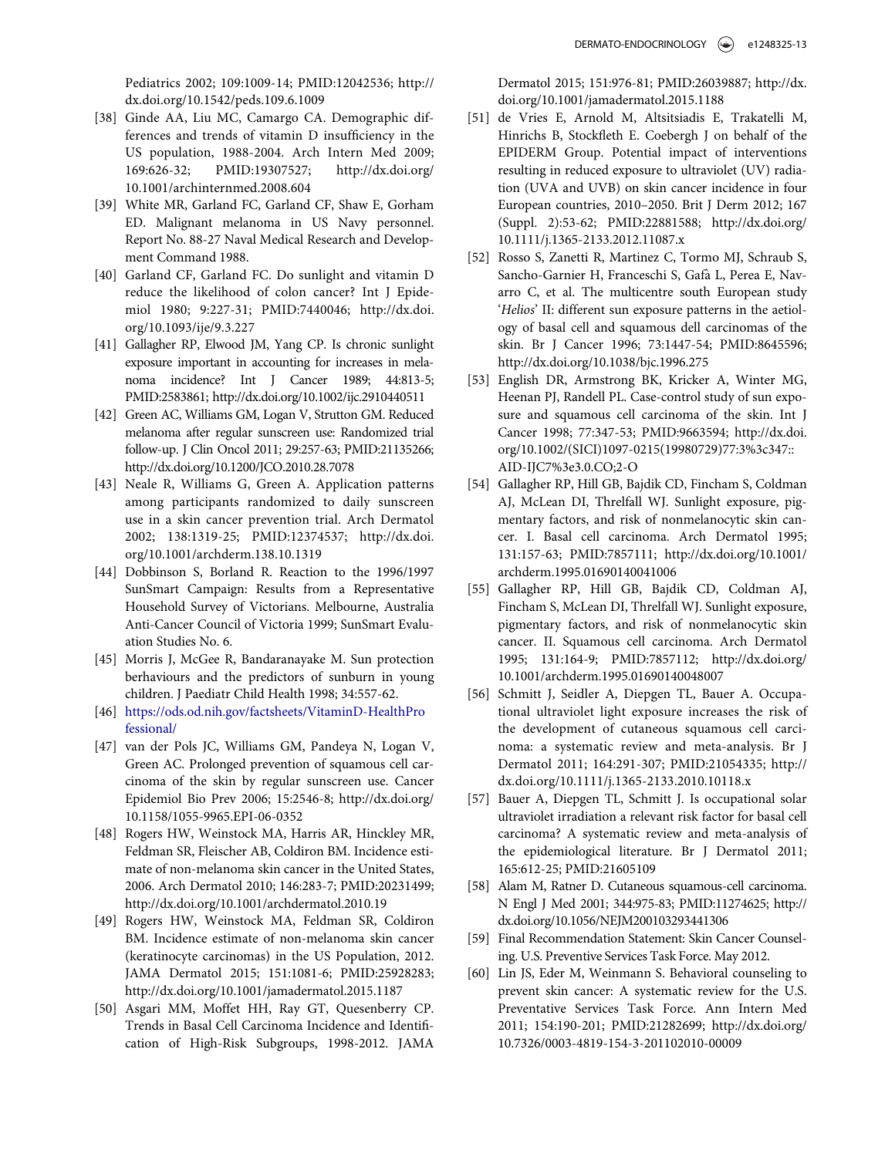Pediatrics 2002; 109:1009-14; PMID:[12042536; http://](http://dx.doi.org/12042536) [dx.doi.org/10.1542/peds.109.6.1009](http://dx.doi.org/10.1542/peds.109.6.1009)

- <span id="page-13-0"></span>[38] Ginde AA, Liu MC, Camargo CA. Demographic differences and trends of vitamin D insufficiency in the US population, 1988-2004. Arch Intern Med 2009; 169:626-32; PMID:[19307527; http://dx.doi.org/](http://dx.doi.org/19307527) [10.1001/archinternmed.2008.604](http://dx.doi.org/10.1001/archinternmed.2008.604)
- <span id="page-13-1"></span>[39] White MR, Garland FC, Garland CF, Shaw E, Gorham ED. Malignant melanoma in US Navy personnel. Report No. 88-27 Naval Medical Research and Development Command 1988.
- <span id="page-13-10"></span><span id="page-13-2"></span>[40] Garland CF, Garland FC. Do sunlight and vitamin D reduce the likelihood of colon cancer? Int J Epidemiol 1980; 9:227-31; PMID[:7440046; http://dx.doi.](http://dx.doi.org/7440046) [org/10.1093/ije/9.3.227](http://dx.doi.org/10.1093/ije/9.3.227)
- <span id="page-13-11"></span><span id="page-13-3"></span>[41] Gallagher RP, Elwood JM, Yang CP. Is chronic sunlight exposure important in accounting for increases in melanoma incidence? Int J Cancer 1989; 44:813-5; PMID[:2583861; http://dx.doi.org/10.1002/ijc.2910440511](http://dx.doi.org/10.1002/ijc.2910440511)
- <span id="page-13-4"></span>[42] Green AC, Williams GM, Logan V, Strutton GM. Reduced melanoma after regular sunscreen use: Randomized trial follow-up. J Clin Oncol 2011; 29:257-63; PMID[:21135266;](http://dx.doi.org/21135266) <http://dx.doi.org/10.1200/JCO.2010.28.7078>
- <span id="page-13-15"></span><span id="page-13-12"></span>[43] Neale R, Williams G, Green A. Application patterns among participants randomized to daily sunscreen use in a skin cancer prevention trial. Arch Dermatol 2002; 138:1319-25; PMID:[12374537; http://dx.doi.](http://dx.doi.org/12374537) [org/10.1001/archderm.138.10.1319](http://dx.doi.org/10.1001/archderm.138.10.1319)
- <span id="page-13-13"></span>[44] Dobbinson S, Borland R. Reaction to the 1996/1997 SunSmart Campaign: Results from a Representative Household Survey of Victorians. Melbourne, Australia Anti-Cancer Council of Victoria 1999; SunSmart Evaluation Studies No. 6.
- [45] Morris J, McGee R, Bandaranayake M. Sun protection berhaviours and the predictors of sunburn in young children. J Paediatr Child Health 1998; 34:557-62.
- <span id="page-13-5"></span>[46] [https://ods.od.nih.gov/factsheets/VitaminD-HealthPro](https://ods.od.nih.gov/factsheets/VitaminD-HealthProfessional/) [fessional/](https://ods.od.nih.gov/factsheets/VitaminD-HealthProfessional/)
- <span id="page-13-6"></span>[47] van der Pols JC, Williams GM, Pandeya N, Logan V, Green AC. Prolonged prevention of squamous cell carcinoma of the skin by regular sunscreen use. Cancer Epidemiol Bio Prev 2006; 15:2546-8; http://dx.doi.org/ [10.1158/1055-9965.EPI-06-0352](http://dx.doi.org/10.1158/1055-9965.EPI-06-0352)
- <span id="page-13-7"></span>[48] Rogers HW, Weinstock MA, Harris AR, Hinckley MR, Feldman SR, Fleischer AB, Coldiron BM. Incidence estimate of non-melanoma skin cancer in the United States, 2006. Arch Dermatol 2010; 146:283-7; PMID:[20231499;](http://dx.doi.org/20231499) <http://dx.doi.org/10.1001/archdermatol.2010.19>
- <span id="page-13-16"></span><span id="page-13-14"></span><span id="page-13-8"></span>[49] Rogers HW, Weinstock MA, Feldman SR, Coldiron BM. Incidence estimate of non-melanoma skin cancer (keratinocyte carcinomas) in the US Population, 2012. JAMA Dermatol 2015; 151:1081-6; PMID:[25928283;](http://dx.doi.org/25928283) <http://dx.doi.org/10.1001/jamadermatol.2015.1187>
- <span id="page-13-9"></span>[50] Asgari MM, Moffet HH, Ray GT, Quesenberry CP. Trends in Basal Cell Carcinoma Incidence and Identification of High-Risk Subgroups, 1998-2012. JAMA

Dermatol 2015; 151:976-81; PMID:[26039887; http://dx.](http://dx.doi.org/26039887) [doi.org/10.1001/jamadermatol.2015.1188](http://dx.doi.org/10.1001/jamadermatol.2015.1188)

- [51] de Vries E, Arnold M, Altsitsiadis E, Trakatelli M, Hinrichs B, Stockfleth E. Coebergh J on behalf of the EPIDERM Group. Potential impact of interventions resulting in reduced exposure to ultraviolet (UV) radiation (UVA and UVB) on skin cancer incidence in four European countries, 2010–2050. Brit J Derm 2012; 167 (Suppl. 2):53-62; PMID[:22881588; http://dx.doi.org/](http://dx.doi.org/22881588) [10.1111/j.1365-2133.2012.11087.x](http://dx.doi.org/10.1111/j.1365-2133.2012.11087.x)
- [52] Rosso S, Zanetti R, Martinez C, Tormo MJ, Schraub S, Sancho-Garnier H, Franceschi S, Gafa L, Perea E, Navarro C, et al. The multicentre south European study 'Helios' II: different sun exposure patterns in the aetiology of basal cell and squamous dell carcinomas of the skin. Br J Cancer 1996; 73:1447-54; PMID[:8645596;](http://dx.doi.org/8645596) <http://dx.doi.org/10.1038/bjc.1996.275>
- [53] English DR, Armstrong BK, Kricker A, Winter MG, Heenan PJ, Randell PL. Case-control study of sun exposure and squamous cell carcinoma of the skin. Int J Cancer 1998; 77:347-53; PMID:[9663594; http://dx.doi.](http://dx.doi.org/9663594) [org/10.1002/\(SICI\)1097-0215\(19980729\)77:3%3c347::](http://dx.doi.org/10.1002/(SICI)1097-0215(19980729)77:3%3c347::AID-IJC7%3e3.0.CO;2-O) [AID-IJC7%3e3.0.CO;2-O](http://dx.doi.org/10.1002/(SICI)1097-0215(19980729)77:3%3c347::AID-IJC7%3e3.0.CO;2-O)
- [54] Gallagher RP, Hill GB, Bajdik CD, Fincham S, Coldman AJ, McLean DI, Threlfall WJ. Sunlight exposure, pigmentary factors, and risk of nonmelanocytic skin cancer. I. Basal cell carcinoma. Arch Dermatol 1995; 131:157-63; PMID:[7857111; http://dx.doi.org/10.1001/](http://dx.doi.org/10.1001/archderm.1995.01690140041006) [archderm.1995.01690140041006](http://dx.doi.org/10.1001/archderm.1995.01690140041006)
- [55] Gallagher RP, Hill GB, Bajdik CD, Coldman AJ, Fincham S, McLean DI, Threlfall WJ. Sunlight exposure, pigmentary factors, and risk of nonmelanocytic skin cancer. II. Squamous cell carcinoma. Arch Dermatol 1995; 131:164-9; PMID[:7857112; http://dx.doi.org/](http://dx.doi.org/7857112) [10.1001/archderm.1995.01690140048007](http://dx.doi.org/10.1001/archderm.1995.01690140048007)
- [56] Schmitt J, Seidler A, Diepgen TL, Bauer A. Occupational ultraviolet light exposure increases the risk of the development of cutaneous squamous cell carcinoma: a systematic review and meta-analysis. Br J Dermatol 2011; 164:291-307; PMID:[21054335; http://](http://dx.doi.org/21054335) [dx.doi.org/10.1111/j.1365-2133.2010.10118.x](http://dx.doi.org/10.1111/j.1365-2133.2010.10118.x)
- [57] Bauer A, Diepgen TL, Schmitt J. Is occupational solar ultraviolet irradiation a relevant risk factor for basal cell carcinoma? A systematic review and meta-analysis of the epidemiological literature. Br J Dermatol 2011; 165:612-25; PMID:[21605109](http://dx.doi.org/21605109)
- [58] Alam M, Ratner D. Cutaneous squamous-cell carcinoma. N Engl J Med 2001; 344:975-83; PMID:[11274625; http://](http://dx.doi.org/11274625) [dx.doi.org/10.1056/NEJM200103293441306](http://dx.doi.org/10.1056/NEJM200103293441306)
- [59] Final Recommendation Statement: Skin Cancer Counseling. U.S. Preventive Services Task Force. May 2012.
- [60] Lin JS, Eder M, Weinmann S. Behavioral counseling to prevent skin cancer: A systematic review for the U.S. Preventative Services Task Force. Ann Intern Med 2011; 154:190-201; PMID[:21282699; http://dx.doi.org/](http://dx.doi.org/21282699) [10.7326/0003-4819-154-3-201102010-00009](http://dx.doi.org/10.7326/0003-4819-154-3-201102010-00009)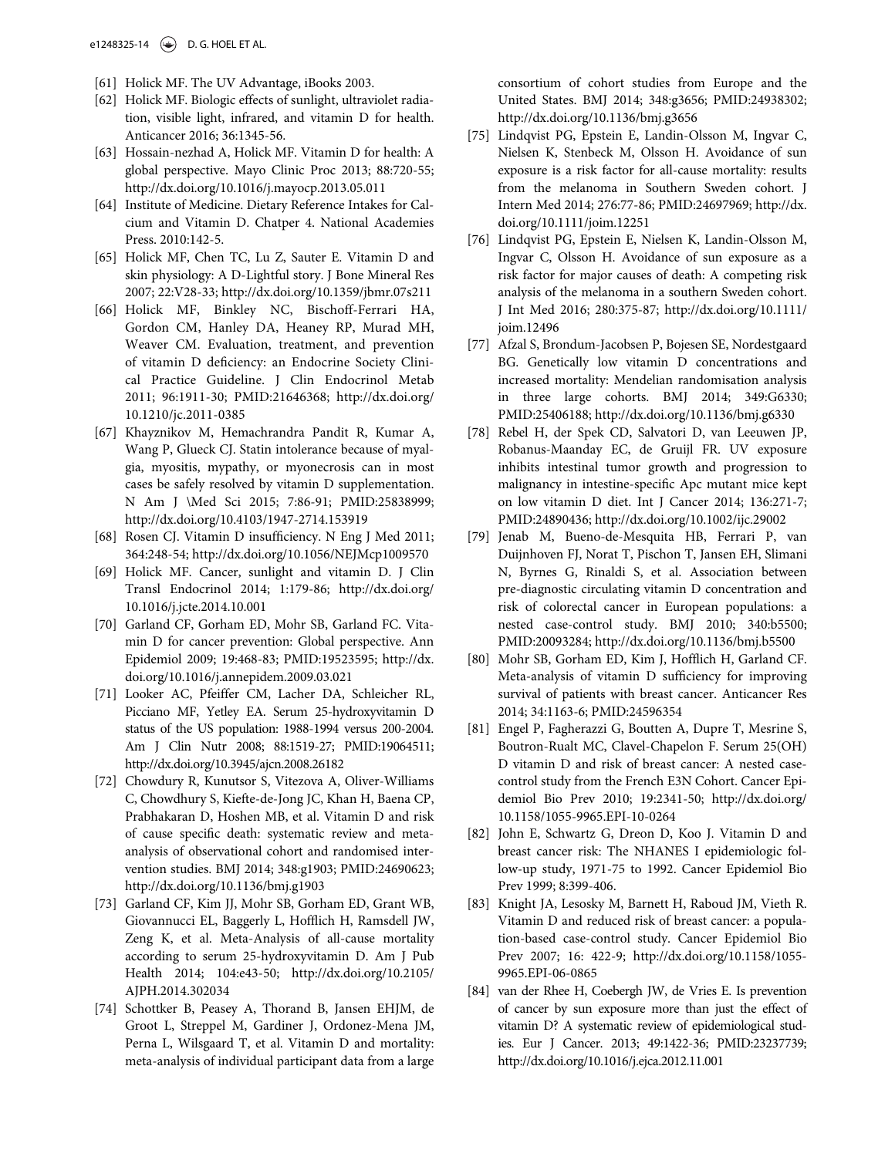- <span id="page-14-0"></span>[61] Holick MF. The UV Advantage, iBooks 2003.
- <span id="page-14-1"></span>[62] Holick MF. Biologic effects of sunlight, ultraviolet radiation, visible light, infrared, and vitamin D for health. Anticancer 2016; 36:1345-56.
- <span id="page-14-10"></span><span id="page-14-2"></span>[63] Hossain-nezhad A, Holick MF. Vitamin D for health: A global perspective. Mayo Clinic Proc 2013; 88:720-55; http://dx.doi.org/[10.1016/j.mayocp.2013.05.011](http://dx.doi.org/10.1016/j.mayocp.2013.05.011)
- <span id="page-14-14"></span>[64] Institute of Medicine. Dietary Reference Intakes for Calcium and Vitamin D. Chatper 4. National Academies Press. 2010:142-5.
- <span id="page-14-11"></span>[65] Holick MF, Chen TC, Lu Z, Sauter E. Vitamin D and skin physiology: A D-Lightful story. J Bone Mineral Res 2007; 22:V28-33; http://dx.doi.org/[10.1359/jbmr.07s211](http://dx.doi.org/10.1359/jbmr.07s211)
- <span id="page-14-12"></span><span id="page-14-3"></span>[66] Holick MF, Binkley NC, Bischoff-Ferrari HA, Gordon CM, Hanley DA, Heaney RP, Murad MH, Weaver CM. Evaluation, treatment, and prevention of vitamin D deficiency: an Endocrine Society Clinical Practice Guideline. J Clin Endocrinol Metab 2011; 96:1911-30; PMID:[21646368; http://dx.doi.org/](http://dx.doi.org/21646368) [10.1210/jc.2011-0385](http://dx.doi.org/10.1210/jc.2011-0385)
- <span id="page-14-21"></span><span id="page-14-13"></span>[67] Khayznikov M, Hemachrandra Pandit R, Kumar A, Wang P, Glueck CJ. Statin intolerance because of myalgia, myositis, mypathy, or myonecrosis can in most cases be safely resolved by vitamin D supplementation. N Am J \Med Sci 2015; 7:86-91; PMID:[25838999;](http://dx.doi.org/25838999) <http://dx.doi.org/10.4103/1947-2714.153919>
- <span id="page-14-15"></span><span id="page-14-5"></span>[68] Rosen CJ. Vitamin D insufficiency. N Eng J Med 2011; 364:248-54; http://dx.doi.org/[10.1056/NEJMcp1009570](http://dx.doi.org/10.1056/NEJMcp1009570)
- [69] Holick MF. Cancer, sunlight and vitamin D. J Clin Transl Endocrinol 2014; 1:179-86; http://dx.doi.org/ [10.1016/j.jcte.2014.10.001](http://dx.doi.org/10.1016/j.jcte.2014.10.001)
- <span id="page-14-16"></span><span id="page-14-4"></span>[70] Garland CF, Gorham ED, Mohr SB, Garland FC. Vitamin D for cancer prevention: Global perspective. Ann Epidemiol 2009; 19:468-83; PMID:[19523595; http://dx.](http://dx.doi.org/19523595) [doi.org/10.1016/j.annepidem.2009.03.021](http://dx.doi.org/10.1016/j.annepidem.2009.03.021)
- <span id="page-14-17"></span><span id="page-14-6"></span>[71] Looker AC, Pfeiffer CM, Lacher DA, Schleicher RL, Picciano MF, Yetley EA. Serum 25-hydroxyvitamin D status of the US population: 1988-1994 versus 200-2004. Am J Clin Nutr 2008; 88:1519-27; PMID[:19064511;](http://dx.doi.org/19064511) <http://dx.doi.org/10.3945/ajcn.2008.26182>
- <span id="page-14-18"></span><span id="page-14-7"></span>[72] Chowdury R, Kunutsor S, Vitezova A, Oliver-Williams C, Chowdhury S, Kiefte-de-Jong JC, Khan H, Baena CP, Prabhakaran D, Hoshen MB, et al. Vitamin D and risk of cause specific death: systematic review and metaanalysis of observational cohort and randomised intervention studies. BMJ 2014; 348:g1903; PMID:[24690623;](http://dx.doi.org/24690623) <http://dx.doi.org/10.1136/bmj.g1903>
- <span id="page-14-19"></span><span id="page-14-8"></span>[73] Garland CF, Kim JJ, Mohr SB, Gorham ED, Grant WB, Giovannucci EL, Baggerly L, Hofflich H, Ramsdell JW, Zeng K, et al. Meta-Analysis of all-cause mortality according to serum 25-hydroxyvitamin D. Am J Pub Health 2014; 104:e43-50; http://dx.doi.org/[10.2105/](http://dx.doi.org/10.2105/AJPH.2014.302034) [AJPH.2014.302034](http://dx.doi.org/10.2105/AJPH.2014.302034)
- <span id="page-14-20"></span><span id="page-14-9"></span>[74] Schottker B, Peasey A, Thorand B, Jansen EHJM, de Groot L, Streppel M, Gardiner J, Ordonez-Mena JM, Perna L, Wilsgaard T, et al. Vitamin D and mortality: meta-analysis of individual participant data from a large

consortium of cohort studies from Europe and the United States. BMJ 2014; 348:g3656; PMID:[24938302;](http://dx.doi.org/24938302) <http://dx.doi.org/10.1136/bmj.g3656>

- [75] Lindqvist PG, Epstein E, Landin-Olsson M, Ingvar C, Nielsen K, Stenbeck M, Olsson H. Avoidance of sun exposure is a risk factor for all-cause mortality: results from the melanoma in Southern Sweden cohort. J Intern Med 2014; 276:77-86; PMID[:24697969; http://dx.](http://dx.doi.org/24697969) [doi.org/10.1111/joim.12251](http://dx.doi.org/10.1111/joim.12251)
- [76] Lindqvist PG, Epstein E, Nielsen K, Landin-Olsson M, Ingvar C, Olsson H. Avoidance of sun exposure as a risk factor for major causes of death: A competing risk analysis of the melanoma in a southern Sweden cohort. J Int Med 2016; 280:375-87; http://dx.doi.org/[10.1111/](http://dx.doi.org/10.1111/joim.12496) [joim.12496](http://dx.doi.org/10.1111/joim.12496)
- [77] Afzal S, Brondum-Jacobsen P, Bojesen SE, Nordestgaard BG. Genetically low vitamin D concentrations and increased mortality: Mendelian randomisation analysis in three large cohorts. BMJ 2014; 349:G6330; PMID:[25406188; http://dx.doi.org/10.1136/bmj.g6330](http://dx.doi.org/10.1136/bmj.g6330)
- [78] Rebel H, der Spek CD, Salvatori D, van Leeuwen JP, Robanus-Maanday EC, de Gruijl FR. UV exposure inhibits intestinal tumor growth and progression to malignancy in intestine-specific Apc mutant mice kept on low vitamin D diet. Int J Cancer 2014; 136:271-7; PMID:[24890436; http://dx.doi.org/10.1002/ijc.29002](http://dx.doi.org/10.1002/ijc.29002)
- [79] Jenab M, Bueno-de-Mesquita HB, Ferrari P, van Duijnhoven FJ, Norat T, Pischon T, Jansen EH, Slimani N, Byrnes G, Rinaldi S, et al. Association between pre-diagnostic circulating vitamin D concentration and risk of colorectal cancer in European populations: a nested case-control study. BMJ 2010; 340:b5500; PMID:[20093284; http://dx.doi.org/10.1136/bmj.b5500](http://dx.doi.org/10.1136/bmj.b5500)
- [80] Mohr SB, Gorham ED, Kim J, Hofflich H, Garland CF. Meta-analysis of vitamin D sufficiency for improving survival of patients with breast cancer. Anticancer Res 2014; 34:1163-6; PMID:[24596354](http://dx.doi.org/24596354)
- [81] Engel P, Fagherazzi G, Boutten A, Dupre T, Mesrine S, Boutron-Rualt MC, Clavel-Chapelon F. Serum 25(OH) D vitamin D and risk of breast cancer: A nested casecontrol study from the French E3N Cohort. Cancer Epidemiol Bio Prev 2010; 19:2341-50; http://dx.doi.org/ [10.1158/1055-9965.EPI-10-0264](http://dx.doi.org/10.1158/1055-9965.EPI-10-0264)
- [82] John E, Schwartz G, Dreon D, Koo J. Vitamin D and breast cancer risk: The NHANES I epidemiologic follow-up study, 1971-75 to 1992. Cancer Epidemiol Bio Prev 1999; 8:399-406.
- [83] Knight JA, Lesosky M, Barnett H, Raboud JM, Vieth R. Vitamin D and reduced risk of breast cancer: a population-based case-control study. Cancer Epidemiol Bio Prev 2007; 16: 422-9; http://dx.doi.org[/10.1158/1055-](http://dx.doi.org/10.1158/1055-9965.EPI-06-0865) [9965.EPI-06-0865](http://dx.doi.org/10.1158/1055-9965.EPI-06-0865)
- [84] van der Rhee H, Coebergh JW, de Vries E. Is prevention of cancer by sun exposure more than just the effect of vitamin D? A systematic review of epidemiological studies. Eur J Cancer. 2013; 49:1422-36; PMID[:23237739;](http://dx.doi.org/23237739) <http://dx.doi.org/10.1016/j.ejca.2012.11.001>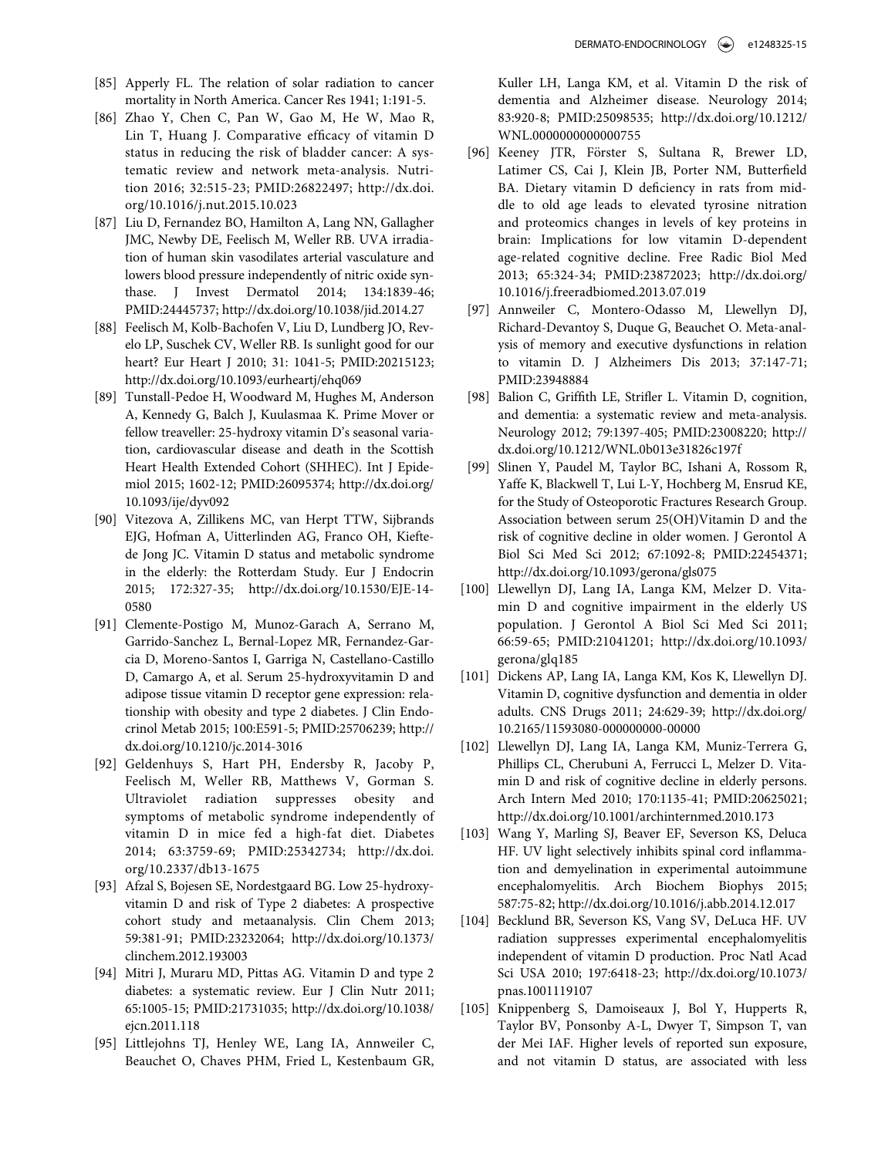- <span id="page-15-0"></span>[85] Apperly FL. The relation of solar radiation to cancer mortality in North America. Cancer Res 1941; 1:191-5.
- <span id="page-15-11"></span><span id="page-15-1"></span>[86] Zhao Y, Chen C, Pan W, Gao M, He W, Mao R, Lin T, Huang J. Comparative efficacy of vitamin D status in reducing the risk of bladder cancer: A systematic review and network meta-analysis. Nutrition 2016; 32:515-23; PMID[:26822497; http://dx.doi.](http://dx.doi.org/26822497) [org/10.1016/j.nut.2015.10.023](http://dx.doi.org/10.1016/j.nut.2015.10.023)
- <span id="page-15-2"></span>[87] Liu D, Fernandez BO, Hamilton A, Lang NN, Gallagher JMC, Newby DE, Feelisch M, Weller RB. UVA irradiation of human skin vasodilates arterial vasculature and lowers blood pressure independently of nitric oxide synthase. J Invest Dermatol 2014; 134:1839-46; PMID[:24445737; http://dx.doi.org/10.1038/jid.2014.27](http://dx.doi.org/10.1038/jid.2014.27)
- <span id="page-15-12"></span><span id="page-15-3"></span>[88] Feelisch M, Kolb-Bachofen V, Liu D, Lundberg JO, Revelo LP, Suschek CV, Weller RB. Is sunlight good for our heart? Eur Heart J 2010; 31: 1041-5; PMID:[20215123;](http://dx.doi.org/20215123) <http://dx.doi.org/10.1093/eurheartj/ehq069>
- <span id="page-15-4"></span>[89] Tunstall-Pedoe H, Woodward M, Hughes M, Anderson A, Kennedy G, Balch J, Kuulasmaa K. Prime Mover or fellow treaveller: 25-hydroxy vitamin D's seasonal variation, cardiovascular disease and death in the Scottish Heart Health Extended Cohort (SHHEC). Int J Epidemiol 2015; 1602-12; PMID:[26095374; http://dx.doi.org/](http://dx.doi.org/26095374) [10.1093/ije/dyv092](http://dx.doi.org/10.1093/ije/dyv092)
- <span id="page-15-5"></span>[90] Vitezova A, Zillikens MC, van Herpt TTW, Sijbrands EJG, Hofman A, Uitterlinden AG, Franco OH, Kieftede Jong JC. Vitamin D status and metabolic syndrome in the elderly: the Rotterdam Study. Eur J Endocrin 2015; 172:327-35; http://dx.doi.org[/10.1530/EJE-14-](http://dx.doi.org/10.1530/EJE-14-0580) [0580](http://dx.doi.org/10.1530/EJE-14-0580)
- <span id="page-15-6"></span>[91] Clemente-Postigo M, Munoz-Garach A, Serrano M, Garrido-Sanchez L, Bernal-Lopez MR, Fernandez-Garcia D, Moreno-Santos I, Garriga N, Castellano-Castillo D, Camargo A, et al. Serum 25-hydroxyvitamin D and adipose tissue vitamin D receptor gene expression: relationship with obesity and type 2 diabetes. J Clin Endocrinol Metab 2015; 100:E591-5; PMID[:25706239; http://](http://dx.doi.org/25706239) [dx.doi.org/10.1210/jc.2014-3016](http://dx.doi.org/10.1210/jc.2014-3016)
- <span id="page-15-7"></span>[92] Geldenhuys S, Hart PH, Endersby R, Jacoby P, Feelisch M, Weller RB, Matthews V, Gorman S. Ultraviolet radiation suppresses obesity and symptoms of metabolic syndrome independently of vitamin D in mice fed a high-fat diet. Diabetes 2014; 63:3759-69; PMID[:25342734; http://dx.doi.](http://dx.doi.org/25342734) [org/10.2337/db13-1675](http://dx.doi.org/10.2337/db13-1675)
- <span id="page-15-14"></span><span id="page-15-13"></span><span id="page-15-8"></span>[93] Afzal S, Bojesen SE, Nordestgaard BG. Low 25-hydroxyvitamin D and risk of Type 2 diabetes: A prospective cohort study and metaanalysis. Clin Chem 2013; 59:381-91; PMID:[23232064; http://dx.doi.org/10.1373/](http://dx.doi.org/10.1373/clinchem.2012.193003) [clinchem.2012.193003](http://dx.doi.org/10.1373/clinchem.2012.193003)
- <span id="page-15-15"></span><span id="page-15-9"></span>[94] Mitri J, Muraru MD, Pittas AG. Vitamin D and type 2 diabetes: a systematic review. Eur J Clin Nutr 2011; 65:1005-15; PMID[:21731035; http://dx.doi.org/10.1038/](http://dx.doi.org/10.1038/ejcn.2011.118) [ejcn.2011.118](http://dx.doi.org/10.1038/ejcn.2011.118)
- <span id="page-15-10"></span>[95] Littlejohns TJ, Henley WE, Lang IA, Annweiler C, Beauchet O, Chaves PHM, Fried L, Kestenbaum GR,

Kuller LH, Langa KM, et al. Vitamin D the risk of dementia and Alzheimer disease. Neurology 2014; 83:920-8; PMID:[25098535; http://dx.doi.org/10.1212/](http://dx.doi.org/10.1212/WNL.0000000000000755) [WNL.0000000000000755](http://dx.doi.org/10.1212/WNL.0000000000000755)

- [96] Keeney JTR, Förster S, Sultana R, Brewer LD, Latimer CS, Cai J, Klein JB, Porter NM, Butterfield BA. Dietary vitamin D deficiency in rats from middle to old age leads to elevated tyrosine nitration and proteomics changes in levels of key proteins in brain: Implications for low vitamin D-dependent age-related cognitive decline. Free Radic Biol Med 2013; 65:324-34; PMID[:23872023; http://dx.doi.org/](http://dx.doi.org/23872023) [10.1016/j.freeradbiomed.2013.07.019](http://dx.doi.org/10.1016/j.freeradbiomed.2013.07.019)
- [97] Annweiler C, Montero-Odasso M, Llewellyn DJ, Richard-Devantoy S, Duque G, Beauchet O. Meta-analysis of memory and executive dysfunctions in relation to vitamin D. J Alzheimers Dis 2013; 37:147-71; PMID:[23948884](http://dx.doi.org/23948884)
- [98] Balion C, Griffith LE, Strifler L. Vitamin D, cognition, and dementia: a systematic review and meta-analysis. Neurology 2012; 79:1397-405; PMID[:23008220; http://](http://dx.doi.org/23008220) [dx.doi.org/10.1212/WNL.0b013e31826c197f](http://dx.doi.org/10.1212/WNL.0b013e31826c197f)
- [99] Slinen Y, Paudel M, Taylor BC, Ishani A, Rossom R, Yaffe K, Blackwell T, Lui L-Y, Hochberg M, Ensrud KE, for the Study of Osteoporotic Fractures Research Group. Association between serum 25(OH)Vitamin D and the risk of cognitive decline in older women. J Gerontol A Biol Sci Med Sci 2012; 67:1092-8; PMID:[22454371;](http://dx.doi.org/22454371) <http://dx.doi.org/10.1093/gerona/gls075>
- [100] Llewellyn DJ, Lang IA, Langa KM, Melzer D. Vitamin D and cognitive impairment in the elderly US population. J Gerontol A Biol Sci Med Sci 2011; 66:59-65; PMID:[21041201; http://dx.doi.org/10.1093/](http://dx.doi.org/10.1093/gerona/glq185) [gerona/glq185](http://dx.doi.org/10.1093/gerona/glq185)
- [101] Dickens AP, Lang IA, Langa KM, Kos K, Llewellyn DJ. Vitamin D, cognitive dysfunction and dementia in older adults. CNS Drugs 2011; 24:629-39; http://dx.doi.org/ [10.2165/11593080-000000000-00000](http://dx.doi.org/10.2165/11593080-000000000-00000)
- [102] Llewellyn DJ, Lang IA, Langa KM, Muniz-Terrera G, Phillips CL, Cherubuni A, Ferrucci L, Melzer D. Vitamin D and risk of cognitive decline in elderly persons. Arch Intern Med 2010; 170:1135-41; PMID:[20625021;](http://dx.doi.org/20625021) <http://dx.doi.org/10.1001/archinternmed.2010.173>
- [103] Wang Y, Marling SJ, Beaver EF, Severson KS, Deluca HF. UV light selectively inhibits spinal cord inflammation and demyelination in experimental autoimmune encephalomyelitis. Arch Biochem Biophys 2015; 587:75-82; http://dx.doi.org/[10.1016/j.abb.2014.12.017](http://dx.doi.org/10.1016/j.abb.2014.12.017)
- [104] Becklund BR, Severson KS, Vang SV, DeLuca HF. UV radiation suppresses experimental encephalomyelitis independent of vitamin D production. Proc Natl Acad Sci USA 2010; 197:6418-23; http://dx.doi.org/[10.1073/](http://dx.doi.org/10.1073/pnas.1001119107) [pnas.1001119107](http://dx.doi.org/10.1073/pnas.1001119107)
- [105] Knippenberg S, Damoiseaux J, Bol Y, Hupperts R, Taylor BV, Ponsonby A-L, Dwyer T, Simpson T, van der Mei IAF. Higher levels of reported sun exposure, and not vitamin D status, are associated with less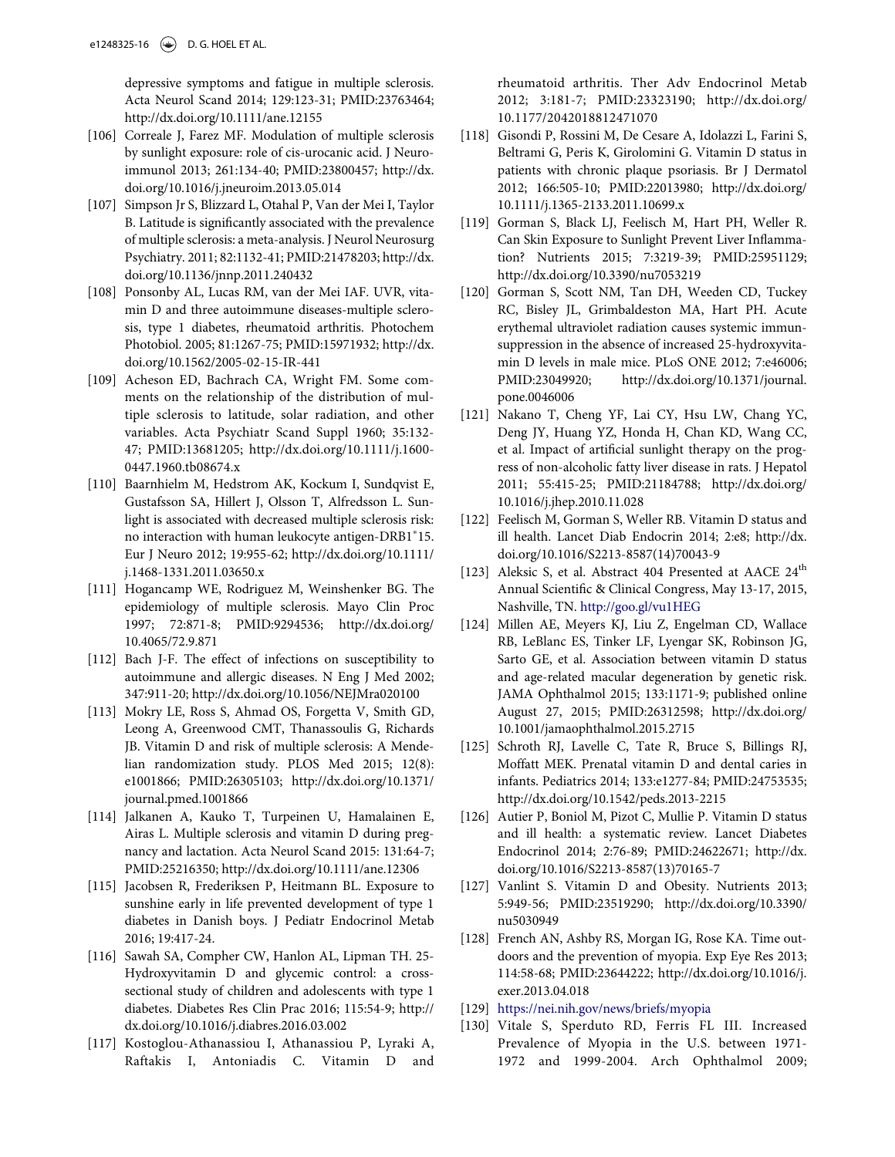depressive symptoms and fatigue in multiple sclerosis. Acta Neurol Scand 2014; 129:123-31; PMID:[23763464;](http://dx.doi.org/23763464) <http://dx.doi.org/10.1111/ane.12155>

- <span id="page-16-10"></span>[106] Correale J, Farez MF. Modulation of multiple sclerosis by sunlight exposure: role of cis-urocanic acid. J Neuroimmunol 2013; 261:134-40; PMID[:23800457; http://dx.](http://dx.doi.org/23800457) [doi.org/10.1016/j.jneuroim.2013.05.014](http://dx.doi.org/10.1016/j.jneuroim.2013.05.014)
- <span id="page-16-11"></span>[107] Simpson Jr S, Blizzard L, Otahal P, Van der Mei I, Taylor B. Latitude is significantly associated with the prevalence of multiple sclerosis: a meta-analysis. J Neurol Neurosurg Psychiatry. 2011; 82:1132-41; PMID:[21478203; http://dx.](http://dx.doi.org/21478203) [doi.org/10.1136/jnnp.2011.240432](http://dx.doi.org/10.1136/jnnp.2011.240432)
- <span id="page-16-2"></span>[108] Ponsonby AL, Lucas RM, van der Mei IAF. UVR, vitamin D and three autoimmune diseases-multiple sclerosis, type 1 diabetes, rheumatoid arthritis. Photochem Photobiol. 2005; 81:1267-75; PMID[:15971932; http://dx.](http://dx.doi.org/15971932) [doi.org/10.1562/2005-02-15-IR-441](http://dx.doi.org/10.1562/2005-02-15-IR-441)
- [109] Acheson ED, Bachrach CA, Wright FM. Some comments on the relationship of the distribution of multiple sclerosis to latitude, solar radiation, and other variables. Acta Psychiatr Scand Suppl 1960; 35:132- 47; PMID[:13681205; http://dx.doi.org/10.1111/j.1600-](http://dx.doi.org/10.1111/j.1600-0447.1960.tb08674.x) [0447.1960.tb08674.x](http://dx.doi.org/10.1111/j.1600-0447.1960.tb08674.x)
- <span id="page-16-12"></span><span id="page-16-1"></span>[110] Baarnhielm M, Hedstrom AK, Kockum I, Sundqvist E, Gustafsson SA, Hillert J, Olsson T, Alfredsson L. Sunlight is associated with decreased multiple sclerosis risk: no interaction with human leukocyte antigen-DRB1 15. Eur J Neuro 2012; 19:955-62; http://dx.doi.org/[10.1111/](http://dx.doi.org/10.1111/j.1468-1331.2011.03650.x) [j.1468-1331.2011.03650.x](http://dx.doi.org/10.1111/j.1468-1331.2011.03650.x)
- <span id="page-16-14"></span><span id="page-16-13"></span><span id="page-16-3"></span>[111] Hogancamp WE, Rodriguez M, Weinshenker BG. The epidemiology of multiple sclerosis. Mayo Clin Proc 1997; 72:871-8; PMID[:9294536; http://dx.doi.org/](http://dx.doi.org/9294536) [10.4065/72.9.871](http://dx.doi.org/10.4065/72.9.871)
- <span id="page-16-4"></span>[112] Bach J-F. The effect of infections on susceptibility to autoimmune and allergic diseases. N Eng J Med 2002; 347:911-20; http://dx.doi.org[/10.1056/NEJMra020100](http://dx.doi.org/10.1056/NEJMra020100)
- <span id="page-16-5"></span><span id="page-16-0"></span>[113] Mokry LE, Ross S, Ahmad OS, Forgetta V, Smith GD, Leong A, Greenwood CMT, Thanassoulis G, Richards JB. Vitamin D and risk of multiple sclerosis: A Mendelian randomization study. PLOS Med 2015; 12(8): e1001866; PMID[:26305103; http://dx.doi.org/10.1371/](http://dx.doi.org/10.1371/journal.pmed.1001866) [journal.pmed.1001866](http://dx.doi.org/10.1371/journal.pmed.1001866)
- <span id="page-16-15"></span><span id="page-16-6"></span>[114] Jalkanen A, Kauko T, Turpeinen U, Hamalainen E, Airas L. Multiple sclerosis and vitamin D during pregnancy and lactation. Acta Neurol Scand 2015: 131:64-7; PMID[:25216350; http://dx.doi.org/10.1111/ane.12306](http://dx.doi.org/10.1111/ane.12306)
- <span id="page-16-16"></span><span id="page-16-7"></span>[115] Jacobsen R, Frederiksen P, Heitmann BL. Exposure to sunshine early in life prevented development of type 1 diabetes in Danish boys. J Pediatr Endocrinol Metab 2016; 19:417-24.
- <span id="page-16-17"></span><span id="page-16-8"></span>[116] Sawah SA, Compher CW, Hanlon AL, Lipman TH. 25- Hydroxyvitamin D and glycemic control: a crosssectional study of children and adolescents with type 1 diabetes. Diabetes Res Clin Prac 2016; 115:54-9; http:// dx.doi.org/[10.1016/j.diabres.2016.03.002](http://dx.doi.org/10.1016/j.diabres.2016.03.002)
- <span id="page-16-19"></span><span id="page-16-18"></span><span id="page-16-9"></span>[117] Kostoglou-Athanassiou I, Athanassiou P, Lyraki A, Raftakis I, Antoniadis C. Vitamin D and

rheumatoid arthritis. Ther Adv Endocrinol Metab 2012; 3:181-7; PMID:[23323190; http://dx.doi.org/](http://dx.doi.org/23323190) [10.1177/2042018812471070](http://dx.doi.org/10.1177/2042018812471070)

- [118] Gisondi P, Rossini M, De Cesare A, Idolazzi L, Farini S, Beltrami G, Peris K, Girolomini G. Vitamin D status in patients with chronic plaque psoriasis. Br J Dermatol 2012; 166:505-10; PMID:[22013980; http://dx.doi.org/](http://dx.doi.org/22013980) [10.1111/j.1365-2133.2011.10699.x](http://dx.doi.org/10.1111/j.1365-2133.2011.10699.x)
- [119] Gorman S, Black LJ, Feelisch M, Hart PH, Weller R. Can Skin Exposure to Sunlight Prevent Liver Inflammation? Nutrients 2015; 7:3219-39; PMID:[25951129;](http://dx.doi.org/25951129) <http://dx.doi.org/10.3390/nu7053219>
- [120] Gorman S, Scott NM, Tan DH, Weeden CD, Tuckey RC, Bisley JL, Grimbaldeston MA, Hart PH. Acute erythemal ultraviolet radiation causes systemic immunsuppression in the absence of increased 25-hydroxyvitamin D levels in male mice. PLoS ONE 2012; 7:e46006; PMID[:23049920; http://dx.doi.org/10.1371/journal.](http://dx.doi.org/10.1371/journal.pone.0046006) [pone.0046006](http://dx.doi.org/10.1371/journal.pone.0046006)
- [121] Nakano T, Cheng YF, Lai CY, Hsu LW, Chang YC, Deng JY, Huang YZ, Honda H, Chan KD, Wang CC, et al. Impact of artificial sunlight therapy on the progress of non-alcoholic fatty liver disease in rats. J Hepatol 2011; 55:415-25; PMID[:21184788; http://dx.doi.org/](http://dx.doi.org/21184788) [10.1016/j.jhep.2010.11.028](http://dx.doi.org/10.1016/j.jhep.2010.11.028)
- [122] Feelisch M, Gorman S, Weller RB. Vitamin D status and ill health. Lancet Diab Endocrin 2014; 2:e8; http://dx. doi.org[/10.1016/S2213-8587\(14\)70043-9](http://dx.doi.org/10.1016/S2213-8587(14)70043-9)
- [123] Aleksic S, et al. Abstract 404 Presented at AACE  $24^{\text{th}}$ Annual Scientific & Clinical Congress, May 13-17, 2015, Nashville, TN. <http://goo.gl/vu1HEG>
- [124] Millen AE, Meyers KJ, Liu Z, Engelman CD, Wallace RB, LeBlanc ES, Tinker LF, Lyengar SK, Robinson JG, Sarto GE, et al. Association between vitamin D status and age-related macular degeneration by genetic risk. JAMA Ophthalmol 2015; 133:1171-9; published online August 27, 2015; PMID:[26312598; http://dx.doi.org/](http://dx.doi.org/26312598) [10.1001/jamaophthalmol.2015.2715](http://dx.doi.org/10.1001/jamaophthalmol.2015.2715)
- [125] Schroth RJ, Lavelle C, Tate R, Bruce S, Billings RJ, Moffatt MEK. Prenatal vitamin D and dental caries in infants. Pediatrics 2014; 133:e1277-84; PMID:[24753535;](http://dx.doi.org/24753535) <http://dx.doi.org/10.1542/peds.2013-2215>
- [126] Autier P, Boniol M, Pizot C, Mullie P. Vitamin D status and ill health: a systematic review. Lancet Diabetes Endocrinol 2014; 2:76-89; PMID:[24622671; http://dx.](http://dx.doi.org/24622671) [doi.org/10.1016/S2213-8587\(13\)70165-7](http://dx.doi.org/10.1016/S2213-8587(13)70165-7)
- [127] Vanlint S. Vitamin D and Obesity. Nutrients 2013; 5:949-56; PMID:[23519290; http://dx.doi.org/10.3390/](http://dx.doi.org/10.3390/nu5030949) [nu5030949](http://dx.doi.org/10.3390/nu5030949)
- [128] French AN, Ashby RS, Morgan IG, Rose KA. Time outdoors and the prevention of myopia. Exp Eye Res 2013; 114:58-68; PMID:[23644222; http://dx.doi.org/10.1016/j.](http://dx.doi.org/10.1016/j.exer.2013.04.018) [exer.2013.04.018](http://dx.doi.org/10.1016/j.exer.2013.04.018)
- [129] <https://nei.nih.gov/news/briefs/myopia>
- [130] Vitale S, Sperduto RD, Ferris FL III. Increased Prevalence of Myopia in the U.S. between 1971- 1972 and 1999-2004. Arch Ophthalmol 2009;